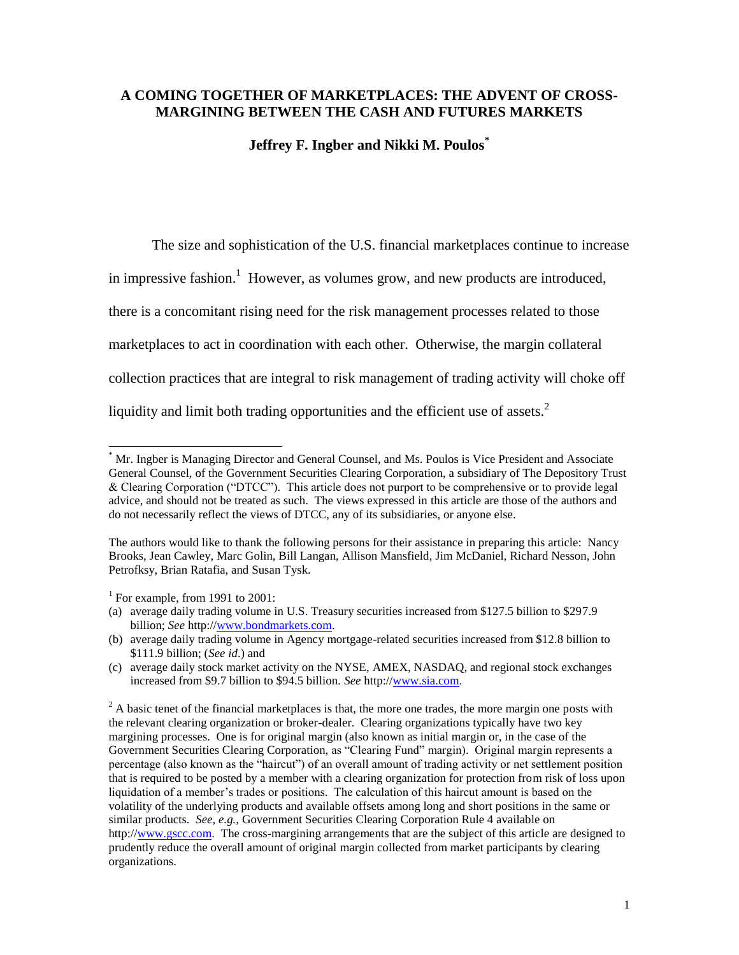## **A COMING TOGETHER OF MARKETPLACES: THE ADVENT OF CROSS-MARGINING BETWEEN THE CASH AND FUTURES MARKETS**

### **Jeffrey F. Ingber and Nikki M. Poulos\***

The size and sophistication of the U.S. financial marketplaces continue to increase in impressive fashion.<sup>1</sup> However, as volumes grow, and new products are introduced, there is a concomitant rising need for the risk management processes related to those marketplaces to act in coordination with each other. Otherwise, the margin collateral collection practices that are integral to risk management of trading activity will choke off liquidity and limit both trading opportunities and the efficient use of assets. $2$ 

<sup>\*</sup> Mr. Ingber is Managing Director and General Counsel, and Ms. Poulos is Vice President and Associate General Counsel, of the Government Securities Clearing Corporation, a subsidiary of The Depository Trust & Clearing Corporation ("DTCC"). This article does not purport to be comprehensive or to provide legal advice, and should not be treated as such. The views expressed in this article are those of the authors and do not necessarily reflect the views of DTCC, any of its subsidiaries, or anyone else.

The authors would like to thank the following persons for their assistance in preparing this article: Nancy Brooks, Jean Cawley, Marc Golin, Bill Langan, Allison Mansfield, Jim McDaniel, Richard Nesson, John Petrofksy, Brian Ratafia, and Susan Tysk.

<sup>&</sup>lt;sup>1</sup> For example, from 1991 to 2001:

<sup>(</sup>a) average daily trading volume in U.S. Treasury securities increased from \$127.5 billion to \$297.9 billion; *See* http:/[/www.bondmarkets.com.](http://www.bondmarkets.com/)

<sup>(</sup>b) average daily trading volume in Agency mortgage-related securities increased from \$12.8 billion to \$111.9 billion; (*See id*.) and

<sup>(</sup>c) average daily stock market activity on the NYSE, AMEX, NASDAQ, and regional stock exchanges increased from \$9.7 billion to \$94.5 billion. *See* http:/[/www.sia.com.](http://www.sia.com/)

<sup>&</sup>lt;sup>2</sup> A basic tenet of the financial marketplaces is that, the more one trades, the more margin one posts with the relevant clearing organization or broker-dealer. Clearing organizations typically have two key margining processes. One is for original margin (also known as initial margin or, in the case of the Government Securities Clearing Corporation, as "Clearing Fund" margin). Original margin represents a percentage (also known as the "haircut") of an overall amount of trading activity or net settlement position that is required to be posted by a member with a clearing organization for protection from risk of loss upon liquidation of a member's trades or positions. The calculation of this haircut amount is based on the volatility of the underlying products and available offsets among long and short positions in the same or similar products. *See, e.g.,* Government Securities Clearing Corporation Rule 4 available on http:/[/www.gscc.com.](http://www.gscc.com/) The cross-margining arrangements that are the subject of this article are designed to prudently reduce the overall amount of original margin collected from market participants by clearing organizations.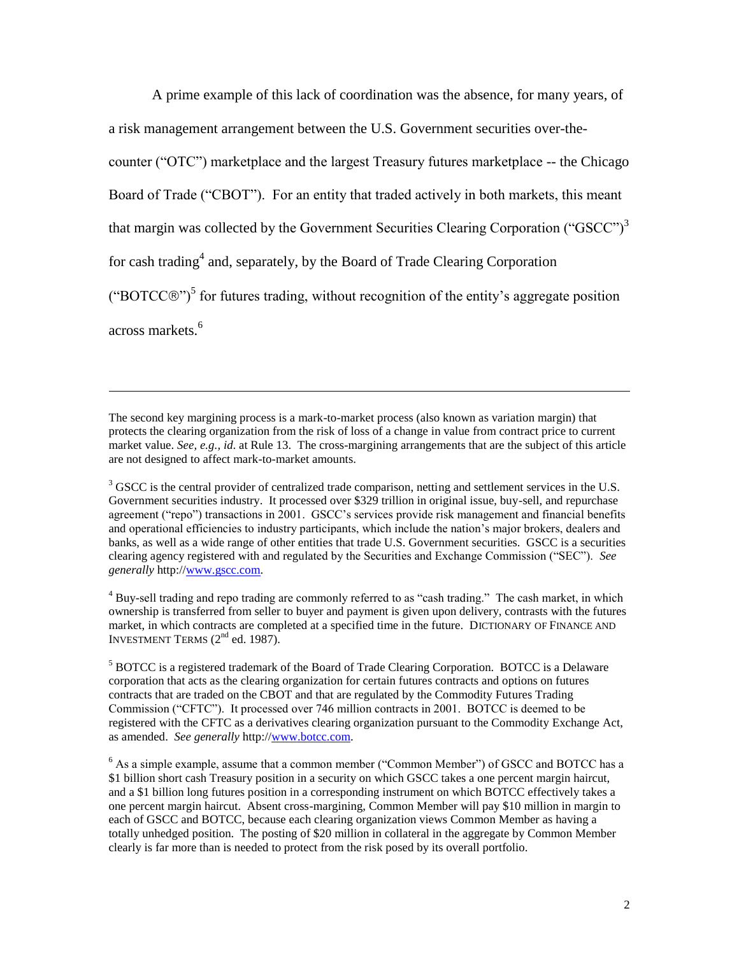A prime example of this lack of coordination was the absence, for many years, of a risk management arrangement between the U.S. Government securities over-thecounter ("OTC") marketplace and the largest Treasury futures marketplace -- the Chicago Board of Trade ("CBOT"). For an entity that traded actively in both markets, this meant that margin was collected by the Government Securities Clearing Corporation ("GSCC")<sup>3</sup> for cash trading<sup>4</sup> and, separately, by the Board of Trade Clearing Corporation ("BOTCC $\circ$ ")<sup>5</sup> for futures trading, without recognition of the entity's aggregate position across markets.<sup>6</sup>

The second key margining process is a mark-to-market process (also known as variation margin) that protects the clearing organization from the risk of loss of a change in value from contract price to current market value. *See, e.g., id*. at Rule 13. The cross-margining arrangements that are the subject of this article are not designed to affect mark-to-market amounts.

 $\overline{a}$ 

<sup>3</sup> GSCC is the central provider of centralized trade comparison, netting and settlement services in the U.S. Government securities industry. It processed over \$329 trillion in original issue, buy-sell, and repurchase agreement ("repo") transactions in 2001. GSCC's services provide risk management and financial benefits and operational efficiencies to industry participants, which include the nation's major brokers, dealers and banks, as well as a wide range of other entities that trade U.S. Government securities. GSCC is a securities clearing agency registered with and regulated by the Securities and Exchange Commission ("SEC"). *See generally* http:/[/www.gscc.com.](http://www.gscc.com/)

<sup>4</sup> Buy-sell trading and repo trading are commonly referred to as "cash trading." The cash market, in which ownership is transferred from seller to buyer and payment is given upon delivery, contrasts with the futures market, in which contracts are completed at a specified time in the future. DICTIONARY OF FINANCE AND INVESTMENT TERMS  $(2<sup>nd</sup>$  ed. 1987).

<sup>5</sup> BOTCC is a registered trademark of the Board of Trade Clearing Corporation. BOTCC is a Delaware corporation that acts as the clearing organization for certain futures contracts and options on futures contracts that are traded on the CBOT and that are regulated by the Commodity Futures Trading Commission ("CFTC"). It processed over 746 million contracts in 2001. BOTCC is deemed to be registered with the CFTC as a derivatives clearing organization pursuant to the Commodity Exchange Act, as amended. *See generally* http:/[/www.botcc.com.](http://www.botcc.com/) 

<sup>6</sup> As a simple example, assume that a common member ("Common Member") of GSCC and BOTCC has a \$1 billion short cash Treasury position in a security on which GSCC takes a one percent margin haircut, and a \$1 billion long futures position in a corresponding instrument on which BOTCC effectively takes a one percent margin haircut. Absent cross-margining, Common Member will pay \$10 million in margin to each of GSCC and BOTCC, because each clearing organization views Common Member as having a totally unhedged position. The posting of \$20 million in collateral in the aggregate by Common Member clearly is far more than is needed to protect from the risk posed by its overall portfolio.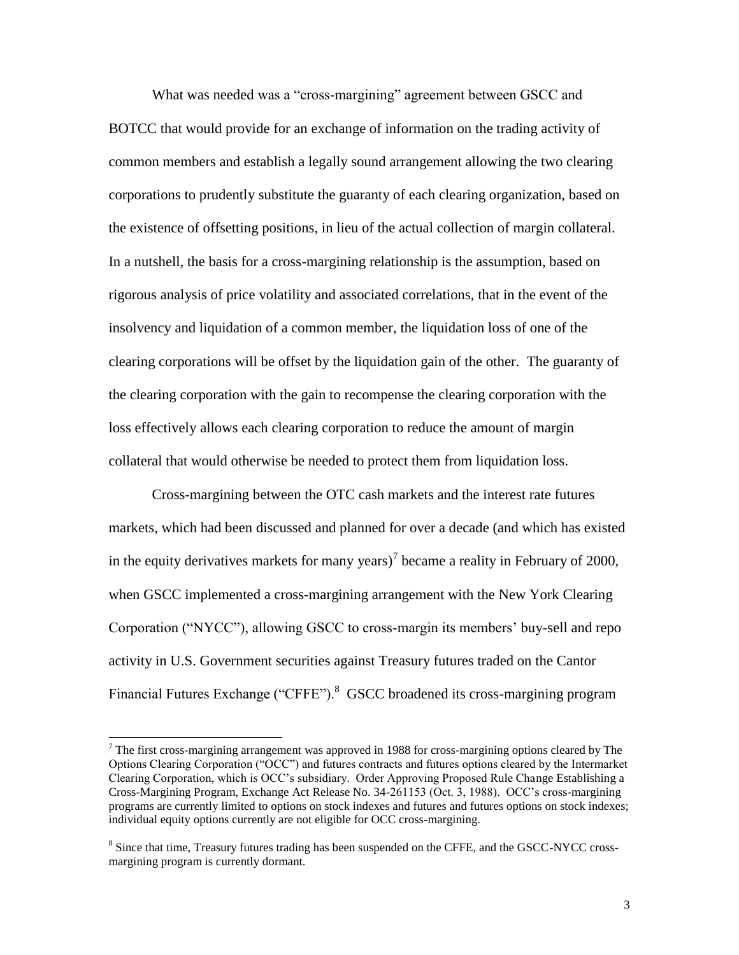What was needed was a "cross-margining" agreement between GSCC and BOTCC that would provide for an exchange of information on the trading activity of common members and establish a legally sound arrangement allowing the two clearing corporations to prudently substitute the guaranty of each clearing organization, based on the existence of offsetting positions, in lieu of the actual collection of margin collateral. In a nutshell, the basis for a cross-margining relationship is the assumption, based on rigorous analysis of price volatility and associated correlations, that in the event of the insolvency and liquidation of a common member, the liquidation loss of one of the clearing corporations will be offset by the liquidation gain of the other. The guaranty of the clearing corporation with the gain to recompense the clearing corporation with the loss effectively allows each clearing corporation to reduce the amount of margin collateral that would otherwise be needed to protect them from liquidation loss.

Cross-margining between the OTC cash markets and the interest rate futures markets, which had been discussed and planned for over a decade (and which has existed in the equity derivatives markets for many years)<sup>7</sup> became a reality in February of 2000, when GSCC implemented a cross-margining arrangement with the New York Clearing Corporation ("NYCC"), allowing GSCC to cross-margin its members' buy-sell and repo activity in U.S. Government securities against Treasury futures traded on the Cantor Financial Futures Exchange ("CFFE").<sup>8</sup> GSCC broadened its cross-margining program

l

 $<sup>7</sup>$  The first cross-margining arrangement was approved in 1988 for cross-margining options cleared by The</sup> Options Clearing Corporation ("OCC") and futures contracts and futures options cleared by the Intermarket Clearing Corporation, which is OCC's subsidiary. Order Approving Proposed Rule Change Establishing a Cross-Margining Program, Exchange Act Release No. 34-261153 (Oct. 3, 1988). OCC's cross-margining programs are currently limited to options on stock indexes and futures and futures options on stock indexes; individual equity options currently are not eligible for OCC cross-margining.

<sup>&</sup>lt;sup>8</sup> Since that time, Treasury futures trading has been suspended on the CFFE, and the GSCC-NYCC crossmargining program is currently dormant.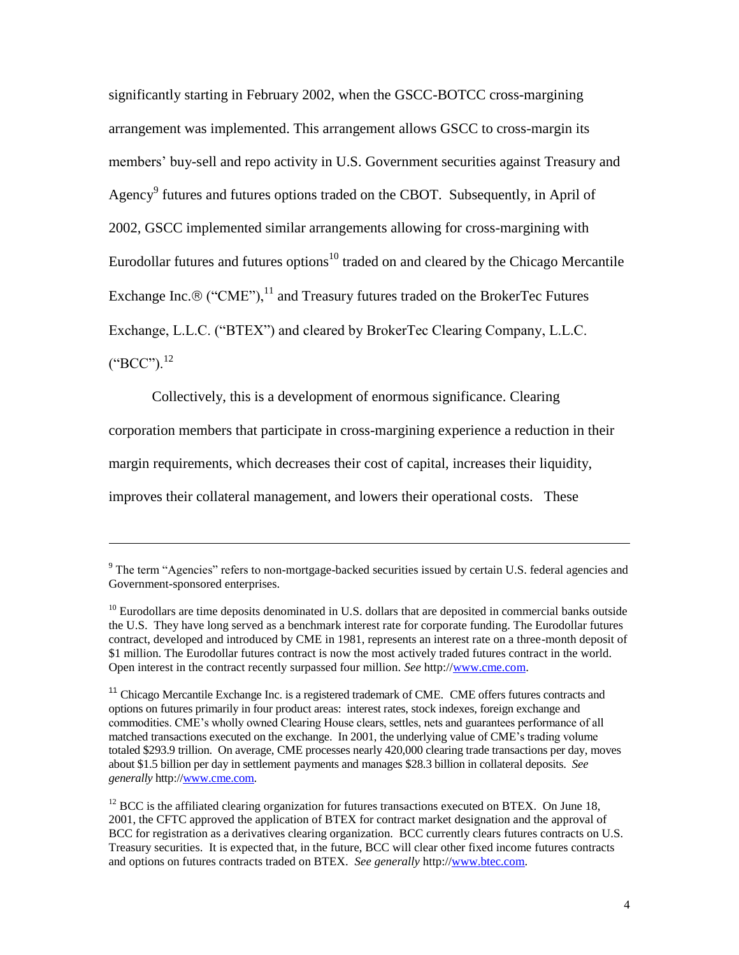significantly starting in February 2002, when the GSCC-BOTCC cross-margining arrangement was implemented. This arrangement allows GSCC to cross-margin its members' buy-sell and repo activity in U.S. Government securities against Treasury and Agency<sup>9</sup> futures and futures options traded on the CBOT. Subsequently, in April of 2002, GSCC implemented similar arrangements allowing for cross-margining with Eurodollar futures and futures options<sup>10</sup> traded on and cleared by the Chicago Mercantile Exchange Inc.  $\mathcal{B}$  ("CME"),<sup>11</sup> and Treasury futures traded on the BrokerTec Futures Exchange, L.L.C. ("BTEX") and cleared by BrokerTec Clearing Company, L.L.C.  $(^{'}\text{BCC}$ "). $^{12}$ 

Collectively, this is a development of enormous significance. Clearing

corporation members that participate in cross-margining experience a reduction in their

margin requirements, which decreases their cost of capital, increases their liquidity,

improves their collateral management, and lowers their operational costs. These

 $9$  The term "Agencies" refers to non-mortgage-backed securities issued by certain U.S. federal agencies and Government-sponsored enterprises.

<sup>&</sup>lt;sup>10</sup> Eurodollars are time deposits denominated in U.S. dollars that are deposited in commercial banks outside the U.S. They have long served as a benchmark interest rate for corporate funding. The Eurodollar futures contract, developed and introduced by CME in 1981, represents an interest rate on a three-month deposit of \$1 million. The Eurodollar futures contract is now the most actively traded futures contract in the world. Open interest in the contract recently surpassed four million. *See* http:/[/www.cme.com.](http://www.cme.com/)

<sup>&</sup>lt;sup>11</sup> Chicago Mercantile Exchange Inc. is a registered trademark of CME. CME offers futures contracts and options on futures primarily in four product areas: interest rates, stock indexes, foreign exchange and commodities. CME's wholly owned Clearing House clears, settles, nets and guarantees performance of all matched transactions executed on the exchange. In 2001, the underlying value of CME's trading volume totaled \$293.9 trillion. On average, CME processes nearly 420,000 clearing trade transactions per day, moves about \$1.5 billion per day in settlement payments and manages \$28.3 billion in collateral deposits. *See generally* http:[//www.cme.com.](http://www.cme.com/) 

 $12$  BCC is the affiliated clearing organization for futures transactions executed on BTEX. On June 18, 2001, the CFTC approved the application of BTEX for contract market designation and the approval of BCC for registration as a derivatives clearing organization. BCC currently clears futures contracts on U.S. Treasury securities. It is expected that, in the future, BCC will clear other fixed income futures contracts and options on futures contracts traded on BTEX. See generally http:/[/www.btec.com.](http://www.btec.com/)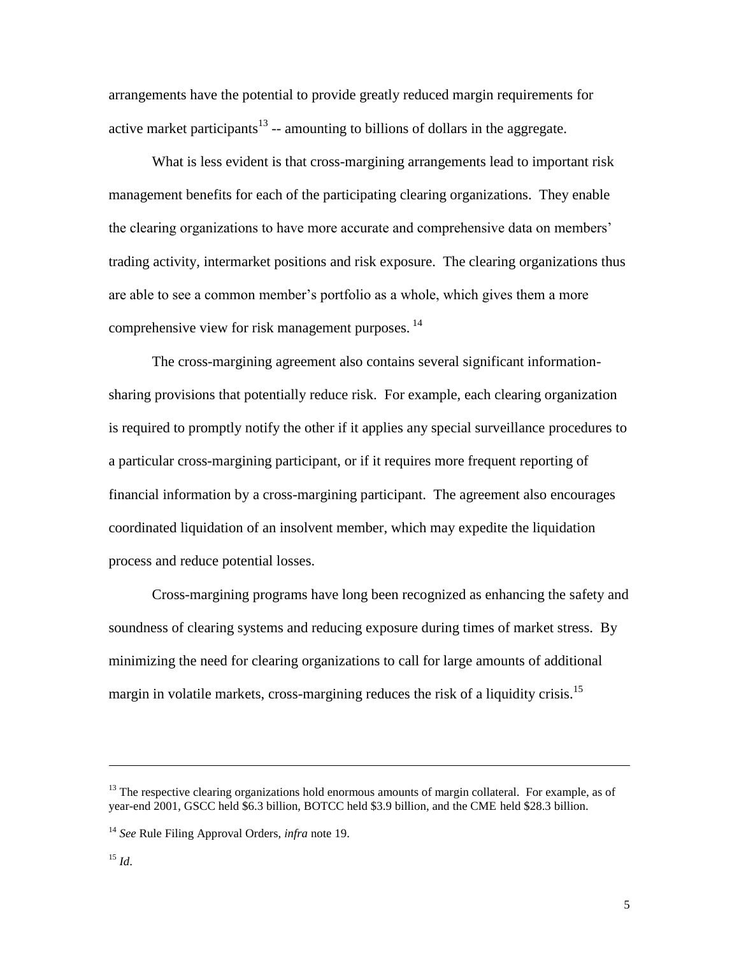arrangements have the potential to provide greatly reduced margin requirements for active market participants<sup>13</sup> -- amounting to billions of dollars in the aggregate.

What is less evident is that cross-margining arrangements lead to important risk management benefits for each of the participating clearing organizations. They enable the clearing organizations to have more accurate and comprehensive data on members' trading activity, intermarket positions and risk exposure. The clearing organizations thus are able to see a common member's portfolio as a whole, which gives them a more comprehensive view for risk management purposes.<sup>14</sup>

The cross-margining agreement also contains several significant informationsharing provisions that potentially reduce risk. For example, each clearing organization is required to promptly notify the other if it applies any special surveillance procedures to a particular cross-margining participant, or if it requires more frequent reporting of financial information by a cross-margining participant. The agreement also encourages coordinated liquidation of an insolvent member, which may expedite the liquidation process and reduce potential losses.

Cross-margining programs have long been recognized as enhancing the safety and soundness of clearing systems and reducing exposure during times of market stress. By minimizing the need for clearing organizations to call for large amounts of additional margin in volatile markets, cross-margining reduces the risk of a liquidity crisis.<sup>15</sup>

 $13$  The respective clearing organizations hold enormous amounts of margin collateral. For example, as of year-end 2001, GSCC held \$6.3 billion, BOTCC held \$3.9 billion, and the CME held \$28.3 billion.

<sup>14</sup> *See* Rule Filing Approval Orders, *infra* note 19.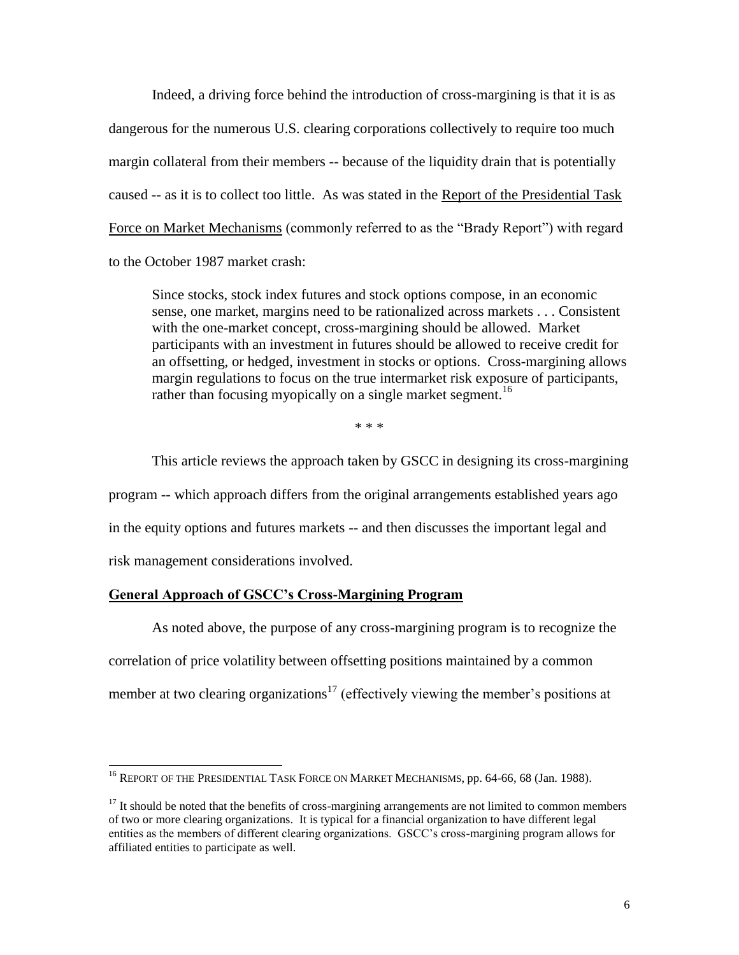Indeed, a driving force behind the introduction of cross-margining is that it is as dangerous for the numerous U.S. clearing corporations collectively to require too much margin collateral from their members -- because of the liquidity drain that is potentially caused -- as it is to collect too little. As was stated in the Report of the Presidential Task Force on Market Mechanisms (commonly referred to as the "Brady Report") with regard to the October 1987 market crash:

Since stocks, stock index futures and stock options compose, in an economic sense, one market, margins need to be rationalized across markets . . . Consistent with the one-market concept, cross-margining should be allowed. Market participants with an investment in futures should be allowed to receive credit for an offsetting, or hedged, investment in stocks or options. Cross-margining allows margin regulations to focus on the true intermarket risk exposure of participants, rather than focusing myopically on a single market segment.<sup>16</sup>

\* \* \*

This article reviews the approach taken by GSCC in designing its cross-margining program -- which approach differs from the original arrangements established years ago in the equity options and futures markets -- and then discusses the important legal and risk management considerations involved.

### **General Approach of GSCC's Cross-Margining Program**

 $\overline{a}$ 

As noted above, the purpose of any cross-margining program is to recognize the correlation of price volatility between offsetting positions maintained by a common member at two clearing organizations<sup>17</sup> (effectively viewing the member's positions at

 $^{16}$  Report of the Presidential Task Force on Market Mechanisms, pp. 64-66, 68 (Jan. 1988).

 $17$  It should be noted that the benefits of cross-margining arrangements are not limited to common members of two or more clearing organizations. It is typical for a financial organization to have different legal entities as the members of different clearing organizations. GSCC's cross-margining program allows for affiliated entities to participate as well.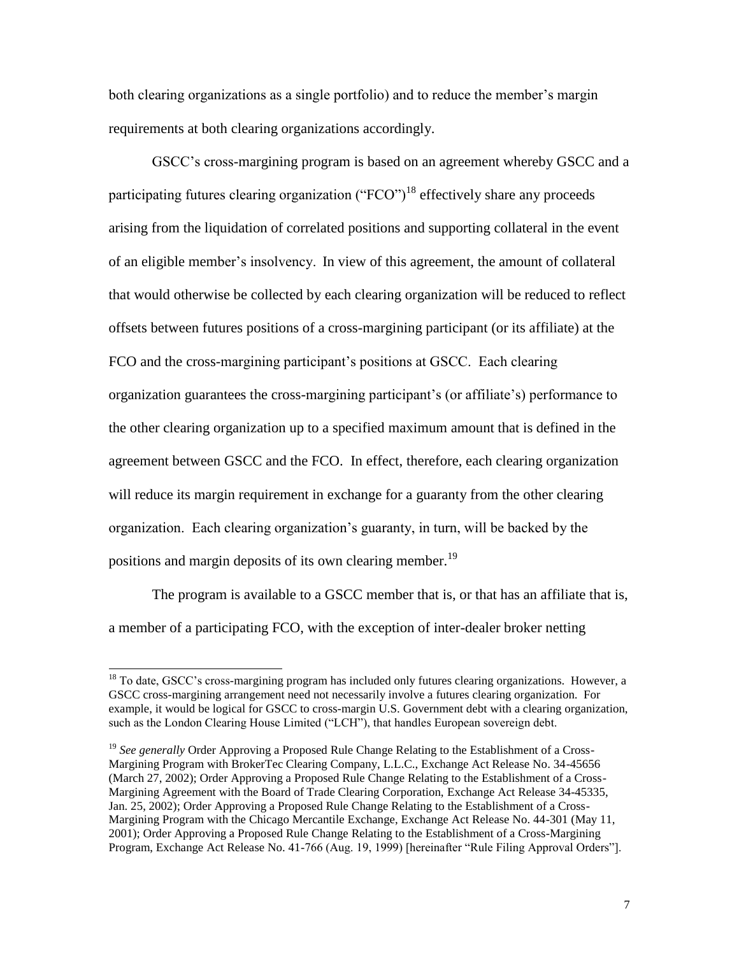both clearing organizations as a single portfolio) and to reduce the member's margin requirements at both clearing organizations accordingly.

GSCC's cross-margining program is based on an agreement whereby GSCC and a participating futures clearing organization (" $FCO$ ")<sup>18</sup> effectively share any proceeds arising from the liquidation of correlated positions and supporting collateral in the event of an eligible member's insolvency. In view of this agreement, the amount of collateral that would otherwise be collected by each clearing organization will be reduced to reflect offsets between futures positions of a cross-margining participant (or its affiliate) at the FCO and the cross-margining participant's positions at GSCC. Each clearing organization guarantees the cross-margining participant's (or affiliate's) performance to the other clearing organization up to a specified maximum amount that is defined in the agreement between GSCC and the FCO. In effect, therefore, each clearing organization will reduce its margin requirement in exchange for a guaranty from the other clearing organization. Each clearing organization's guaranty, in turn, will be backed by the positions and margin deposits of its own clearing member.<sup>19</sup>

The program is available to a GSCC member that is, or that has an affiliate that is, a member of a participating FCO, with the exception of inter-dealer broker netting

 $18$  To date, GSCC's cross-margining program has included only futures clearing organizations. However, a GSCC cross-margining arrangement need not necessarily involve a futures clearing organization. For example, it would be logical for GSCC to cross-margin U.S. Government debt with a clearing organization, such as the London Clearing House Limited ("LCH"), that handles European sovereign debt.

<sup>&</sup>lt;sup>19</sup> See generally Order Approving a Proposed Rule Change Relating to the Establishment of a Cross-Margining Program with BrokerTec Clearing Company, L.L.C., Exchange Act Release No. 34-45656 (March 27, 2002); Order Approving a Proposed Rule Change Relating to the Establishment of a Cross-Margining Agreement with the Board of Trade Clearing Corporation, Exchange Act Release 34-45335, Jan. 25, 2002); Order Approving a Proposed Rule Change Relating to the Establishment of a Cross-Margining Program with the Chicago Mercantile Exchange, Exchange Act Release No. 44-301 (May 11, 2001); Order Approving a Proposed Rule Change Relating to the Establishment of a Cross-Margining Program, Exchange Act Release No. 41-766 (Aug. 19, 1999) [hereinafter "Rule Filing Approval Orders"].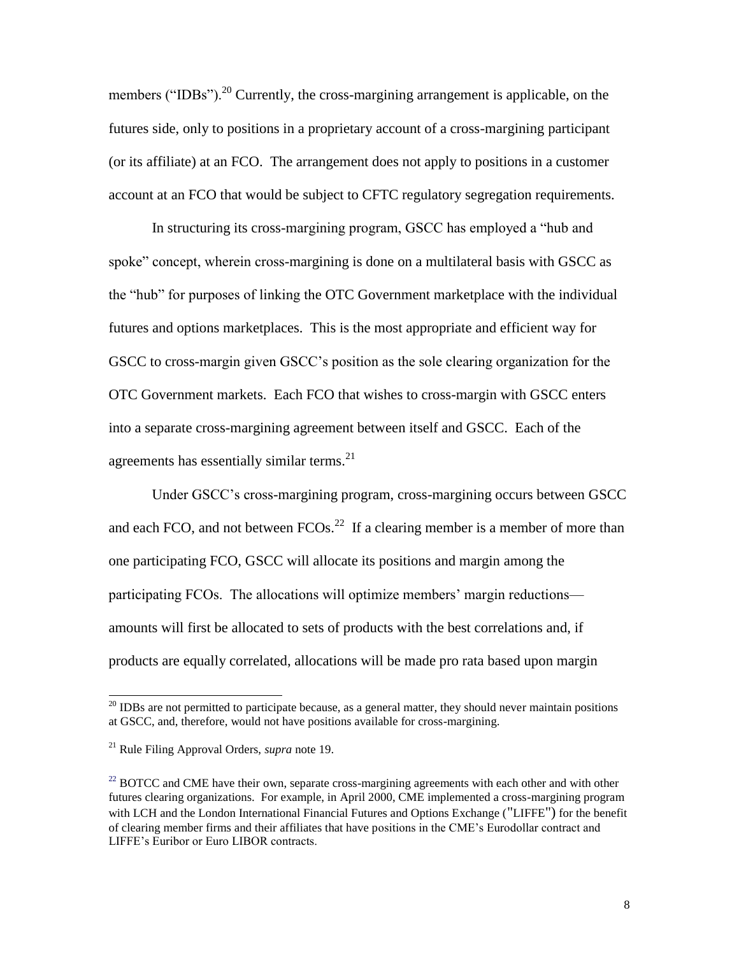members ("IDBs").<sup>20</sup> Currently, the cross-margining arrangement is applicable, on the futures side, only to positions in a proprietary account of a cross-margining participant (or its affiliate) at an FCO. The arrangement does not apply to positions in a customer account at an FCO that would be subject to CFTC regulatory segregation requirements.

In structuring its cross-margining program, GSCC has employed a "hub and spoke" concept, wherein cross-margining is done on a multilateral basis with GSCC as the "hub" for purposes of linking the OTC Government marketplace with the individual futures and options marketplaces. This is the most appropriate and efficient way for GSCC to cross-margin given GSCC's position as the sole clearing organization for the OTC Government markets. Each FCO that wishes to cross-margin with GSCC enters into a separate cross-margining agreement between itself and GSCC. Each of the agreements has essentially similar terms. $^{21}$ 

Under GSCC's cross-margining program, cross-margining occurs between GSCC and each FCO, and not between  $FCOs.<sup>22</sup>$  If a clearing member is a member of more than one participating FCO, GSCC will allocate its positions and margin among the participating FCOs. The allocations will optimize members' margin reductions amounts will first be allocated to sets of products with the best correlations and, if products are equally correlated, allocations will be made pro rata based upon margin

l

 $20$  IDBs are not permitted to participate because, as a general matter, they should never maintain positions at GSCC, and, therefore, would not have positions available for cross-margining.

<sup>21</sup> Rule Filing Approval Orders, *supra* note 19.

<sup>&</sup>lt;sup>22</sup> BOTCC and CME have their own, separate cross-margining agreements with each other and with other futures clearing organizations. For example, in April 2000, CME implemented a cross-margining program with LCH and the London International Financial Futures and Options Exchange ("LIFFE") for the benefit of clearing member firms and their affiliates that have positions in the CME's Eurodollar contract and LIFFE's Euribor or Euro LIBOR contracts.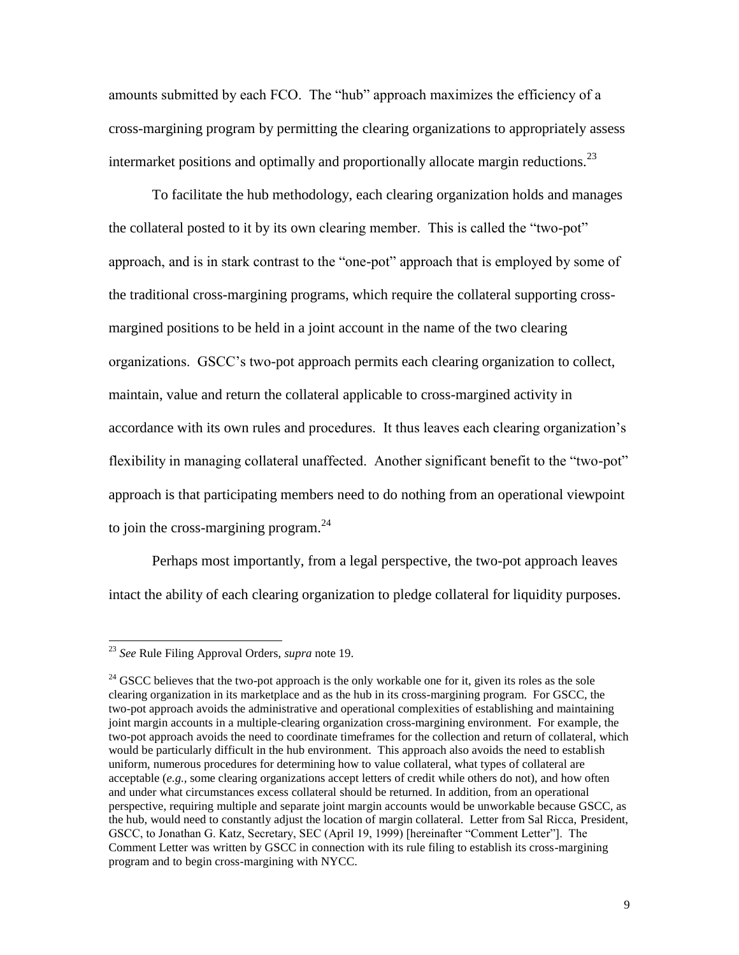amounts submitted by each FCO. The "hub" approach maximizes the efficiency of a cross-margining program by permitting the clearing organizations to appropriately assess intermarket positions and optimally and proportionally allocate margin reductions.<sup>23</sup>

To facilitate the hub methodology, each clearing organization holds and manages the collateral posted to it by its own clearing member. This is called the "two-pot" approach, and is in stark contrast to the "one-pot" approach that is employed by some of the traditional cross-margining programs, which require the collateral supporting crossmargined positions to be held in a joint account in the name of the two clearing organizations. GSCC's two-pot approach permits each clearing organization to collect, maintain, value and return the collateral applicable to cross-margined activity in accordance with its own rules and procedures. It thus leaves each clearing organization's flexibility in managing collateral unaffected. Another significant benefit to the "two-pot" approach is that participating members need to do nothing from an operational viewpoint to join the cross-margining program. $^{24}$ 

Perhaps most importantly, from a legal perspective, the two-pot approach leaves intact the ability of each clearing organization to pledge collateral for liquidity purposes.

<sup>23</sup> *See* Rule Filing Approval Orders, *supra* note 19.

 $24$  GSCC believes that the two-pot approach is the only workable one for it, given its roles as the sole clearing organization in its marketplace and as the hub in its cross-margining program. For GSCC, the two-pot approach avoids the administrative and operational complexities of establishing and maintaining joint margin accounts in a multiple-clearing organization cross-margining environment. For example, the two-pot approach avoids the need to coordinate timeframes for the collection and return of collateral, which would be particularly difficult in the hub environment. This approach also avoids the need to establish uniform, numerous procedures for determining how to value collateral, what types of collateral are acceptable (*e.g.,* some clearing organizations accept letters of credit while others do not), and how often and under what circumstances excess collateral should be returned. In addition, from an operational perspective, requiring multiple and separate joint margin accounts would be unworkable because GSCC, as the hub, would need to constantly adjust the location of margin collateral. Letter from Sal Ricca, President, GSCC, to Jonathan G. Katz, Secretary, SEC (April 19, 1999) [hereinafter "Comment Letter"]. The Comment Letter was written by GSCC in connection with its rule filing to establish its cross-margining program and to begin cross-margining with NYCC.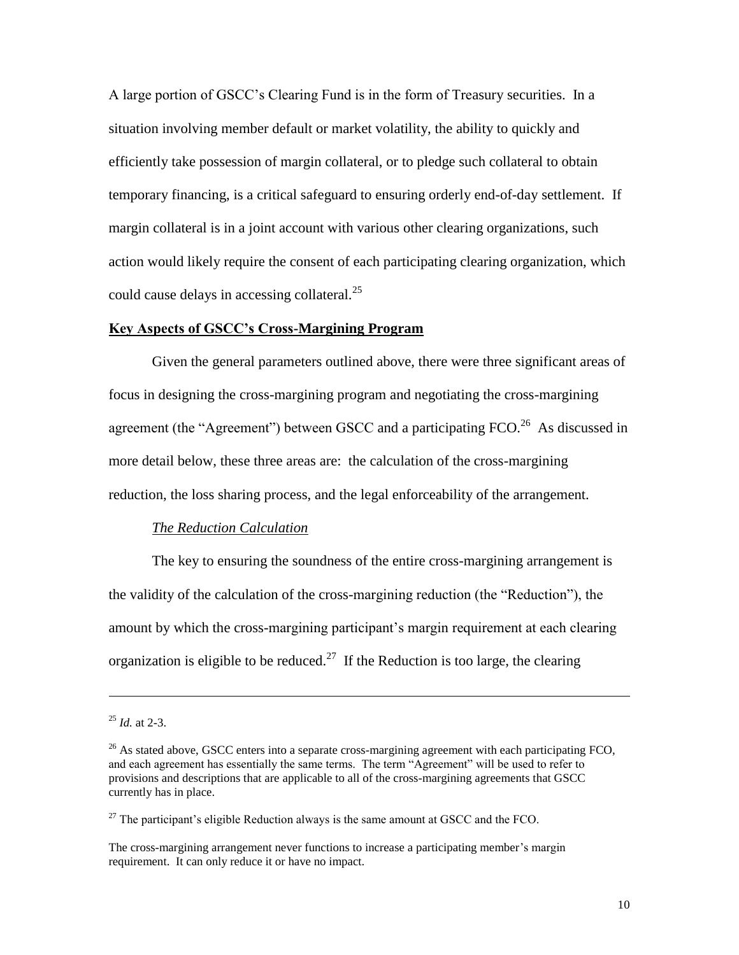A large portion of GSCC's Clearing Fund is in the form of Treasury securities. In a situation involving member default or market volatility, the ability to quickly and efficiently take possession of margin collateral, or to pledge such collateral to obtain temporary financing, is a critical safeguard to ensuring orderly end-of-day settlement. If margin collateral is in a joint account with various other clearing organizations, such action would likely require the consent of each participating clearing organization, which could cause delays in accessing collateral.<sup>25</sup>

### **Key Aspects of GSCC's Cross-Margining Program**

Given the general parameters outlined above, there were three significant areas of focus in designing the cross-margining program and negotiating the cross-margining agreement (the "Agreement") between GSCC and a participating  $FCO$ <sup>26</sup> As discussed in more detail below, these three areas are: the calculation of the cross-margining reduction, the loss sharing process, and the legal enforceability of the arrangement.

#### *The Reduction Calculation*

The key to ensuring the soundness of the entire cross-margining arrangement is the validity of the calculation of the cross-margining reduction (the "Reduction"), the amount by which the cross-margining participant's margin requirement at each clearing organization is eligible to be reduced.<sup>27</sup> If the Reduction is too large, the clearing

 $^{25}$  *Id.* at 2-3.

 $^{26}$  As stated above, GSCC enters into a separate cross-margining agreement with each participating FCO, and each agreement has essentially the same terms. The term "Agreement" will be used to refer to provisions and descriptions that are applicable to all of the cross-margining agreements that GSCC currently has in place.

 $^{27}$  The participant's eligible Reduction always is the same amount at GSCC and the FCO.

The cross-margining arrangement never functions to increase a participating member's margin requirement. It can only reduce it or have no impact.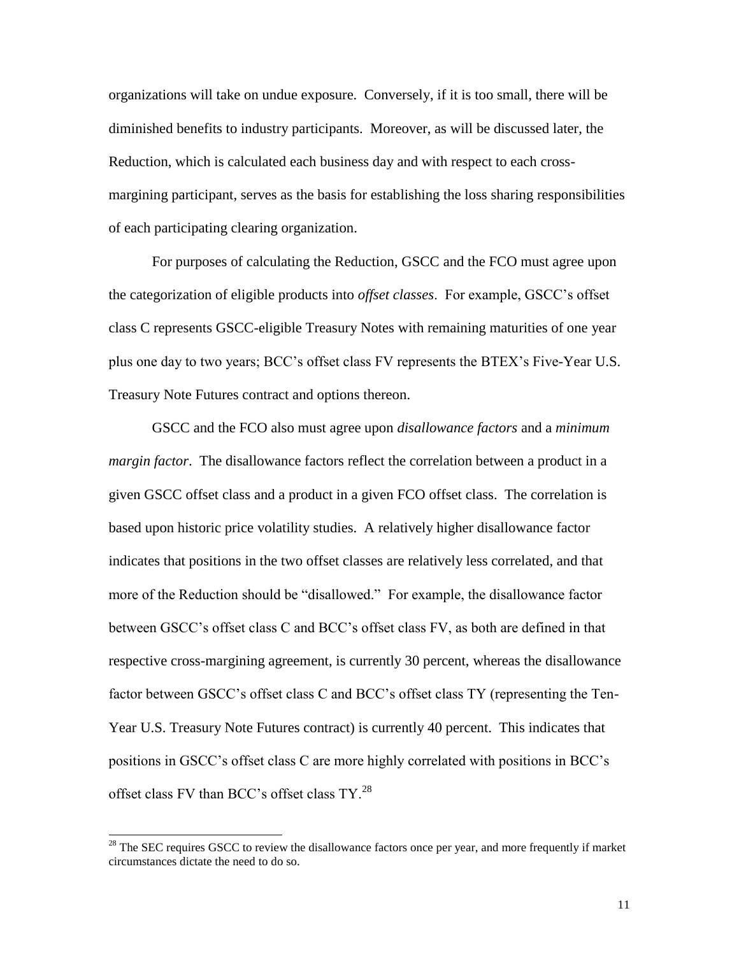organizations will take on undue exposure. Conversely, if it is too small, there will be diminished benefits to industry participants. Moreover, as will be discussed later, the Reduction, which is calculated each business day and with respect to each crossmargining participant, serves as the basis for establishing the loss sharing responsibilities of each participating clearing organization.

For purposes of calculating the Reduction, GSCC and the FCO must agree upon the categorization of eligible products into *offset classes*. For example, GSCC's offset class C represents GSCC-eligible Treasury Notes with remaining maturities of one year plus one day to two years; BCC's offset class FV represents the BTEX's Five-Year U.S. Treasury Note Futures contract and options thereon.

GSCC and the FCO also must agree upon *disallowance factors* and a *minimum margin factor*. The disallowance factors reflect the correlation between a product in a given GSCC offset class and a product in a given FCO offset class. The correlation is based upon historic price volatility studies. A relatively higher disallowance factor indicates that positions in the two offset classes are relatively less correlated, and that more of the Reduction should be "disallowed." For example, the disallowance factor between GSCC's offset class C and BCC's offset class FV, as both are defined in that respective cross-margining agreement, is currently 30 percent, whereas the disallowance factor between GSCC's offset class C and BCC's offset class TY (representing the Ten-Year U.S. Treasury Note Futures contract) is currently 40 percent. This indicates that positions in GSCC's offset class C are more highly correlated with positions in BCC's offset class FV than BCC's offset class TY.<sup>28</sup>

 $2<sup>28</sup>$  The SEC requires GSCC to review the disallowance factors once per year, and more frequently if market circumstances dictate the need to do so.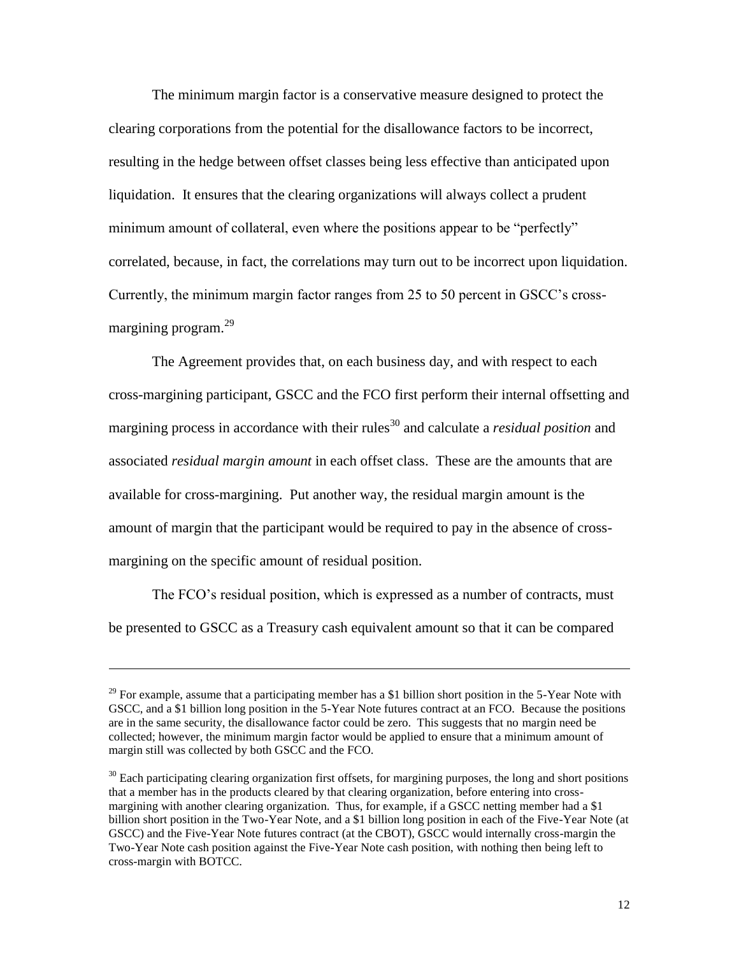The minimum margin factor is a conservative measure designed to protect the clearing corporations from the potential for the disallowance factors to be incorrect, resulting in the hedge between offset classes being less effective than anticipated upon liquidation. It ensures that the clearing organizations will always collect a prudent minimum amount of collateral, even where the positions appear to be "perfectly" correlated, because, in fact, the correlations may turn out to be incorrect upon liquidation. Currently, the minimum margin factor ranges from 25 to 50 percent in GSCC's crossmargining program. $^{29}$ 

The Agreement provides that, on each business day, and with respect to each cross-margining participant, GSCC and the FCO first perform their internal offsetting and margining process in accordance with their rules<sup>30</sup> and calculate a *residual position* and associated *residual margin amount* in each offset class. These are the amounts that are available for cross-margining. Put another way, the residual margin amount is the amount of margin that the participant would be required to pay in the absence of crossmargining on the specific amount of residual position.

The FCO's residual position, which is expressed as a number of contracts, must be presented to GSCC as a Treasury cash equivalent amount so that it can be compared

<sup>&</sup>lt;sup>29</sup> For example, assume that a participating member has a \$1 billion short position in the 5-Year Note with GSCC, and a \$1 billion long position in the 5-Year Note futures contract at an FCO. Because the positions are in the same security, the disallowance factor could be zero. This suggests that no margin need be collected; however, the minimum margin factor would be applied to ensure that a minimum amount of margin still was collected by both GSCC and the FCO.

 $30$  Each participating clearing organization first offsets, for margining purposes, the long and short positions that a member has in the products cleared by that clearing organization, before entering into crossmargining with another clearing organization. Thus, for example, if a GSCC netting member had a \$1 billion short position in the Two-Year Note, and a \$1 billion long position in each of the Five-Year Note (at GSCC) and the Five-Year Note futures contract (at the CBOT), GSCC would internally cross-margin the Two-Year Note cash position against the Five-Year Note cash position, with nothing then being left to cross-margin with BOTCC.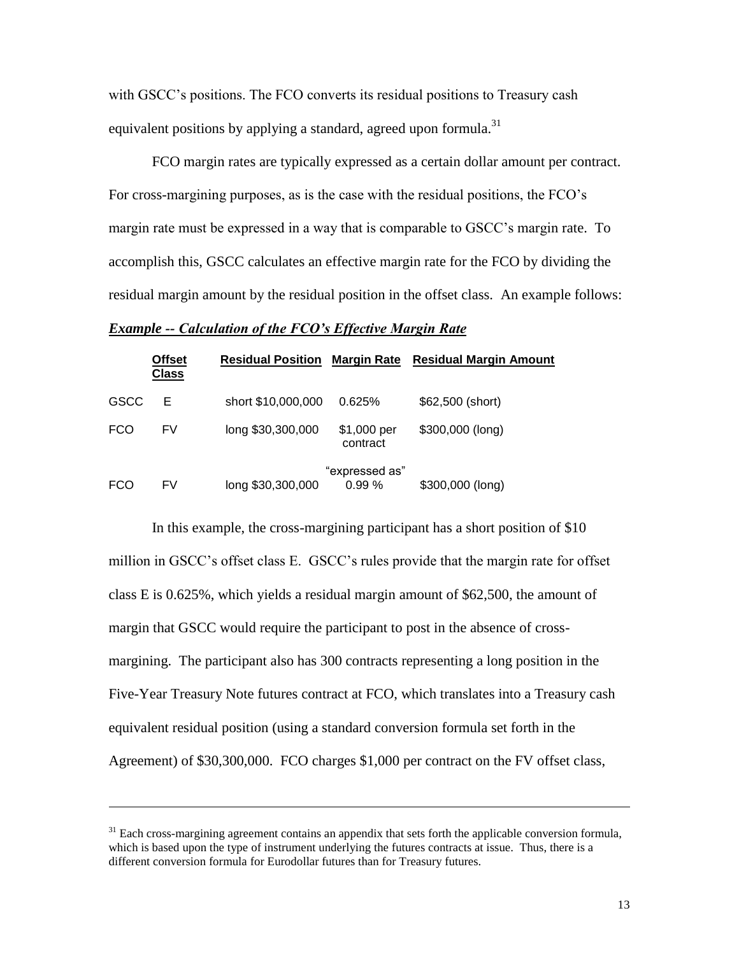with GSCC's positions. The FCO converts its residual positions to Treasury cash equivalent positions by applying a standard, agreed upon formula.<sup>31</sup>

FCO margin rates are typically expressed as a certain dollar amount per contract. For cross-margining purposes, as is the case with the residual positions, the FCO's margin rate must be expressed in a way that is comparable to GSCC's margin rate. To accomplish this, GSCC calculates an effective margin rate for the FCO by dividing the residual margin amount by the residual position in the offset class. An example follows:

### *Example -- Calculation of the FCO's Effective Margin Rate*

|            | <b>Offset</b><br><b>Class</b> | <b>Residual Position</b> |                         | Margin Rate Residual Margin Amount |
|------------|-------------------------------|--------------------------|-------------------------|------------------------------------|
| GSCC       | E                             | short \$10,000,000       | 0.625%                  | \$62,500 (short)                   |
| <b>FCO</b> | FV                            | long \$30,300,000        | \$1,000 per<br>contract | \$300,000 (long)                   |
| <b>FCO</b> | FV                            | long \$30,300,000        | "expressed as"<br>0.99% | \$300,000 (long)                   |

In this example, the cross-margining participant has a short position of \$10 million in GSCC's offset class E. GSCC's rules provide that the margin rate for offset class E is 0.625%, which yields a residual margin amount of \$62,500, the amount of margin that GSCC would require the participant to post in the absence of crossmargining. The participant also has 300 contracts representing a long position in the Five-Year Treasury Note futures contract at FCO, which translates into a Treasury cash equivalent residual position (using a standard conversion formula set forth in the Agreement) of \$30,300,000. FCO charges \$1,000 per contract on the FV offset class,

<sup>&</sup>lt;sup>31</sup> Each cross-margining agreement contains an appendix that sets forth the applicable conversion formula, which is based upon the type of instrument underlying the futures contracts at issue. Thus, there is a different conversion formula for Eurodollar futures than for Treasury futures.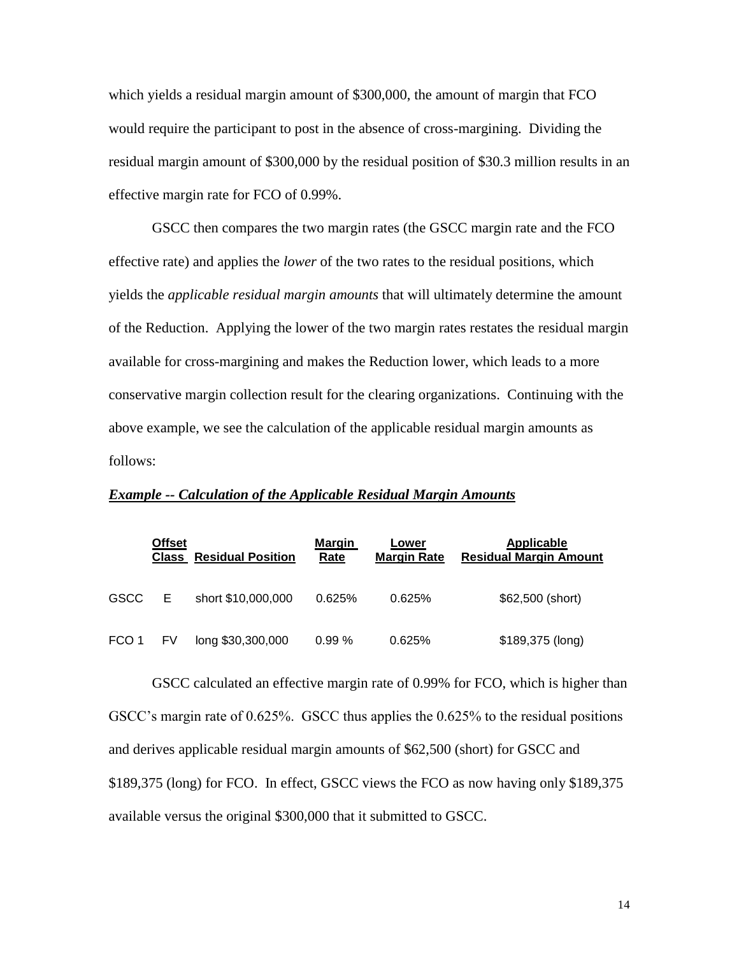which yields a residual margin amount of \$300,000, the amount of margin that FCO would require the participant to post in the absence of cross-margining. Dividing the residual margin amount of \$300,000 by the residual position of \$30.3 million results in an effective margin rate for FCO of 0.99%.

GSCC then compares the two margin rates (the GSCC margin rate and the FCO effective rate) and applies the *lower* of the two rates to the residual positions, which yields the *applicable residual margin amounts* that will ultimately determine the amount of the Reduction. Applying the lower of the two margin rates restates the residual margin available for cross-margining and makes the Reduction lower, which leads to a more conservative margin collection result for the clearing organizations. Continuing with the above example, we see the calculation of the applicable residual margin amounts as follows:

|             | <b>Offset</b><br>Class | <b>Residual Position</b> | Margin<br>Rate | Lower<br><b>Margin Rate</b> | Applicable<br><b>Residual Margin Amount</b> |
|-------------|------------------------|--------------------------|----------------|-----------------------------|---------------------------------------------|
| <b>GSCC</b> | Е                      | short \$10,000,000       | 0.625%         | 0.625%                      | \$62,500 (short)                            |
| FCO 1       | FV                     | long \$30,300,000        | 0.99%          | 0.625%                      | \$189,375 (long)                            |

### *Example -- Calculation of the Applicable Residual Margin Amounts*

GSCC calculated an effective margin rate of 0.99% for FCO, which is higher than GSCC's margin rate of 0.625%. GSCC thus applies the 0.625% to the residual positions and derives applicable residual margin amounts of \$62,500 (short) for GSCC and \$189,375 (long) for FCO. In effect, GSCC views the FCO as now having only \$189,375 available versus the original \$300,000 that it submitted to GSCC.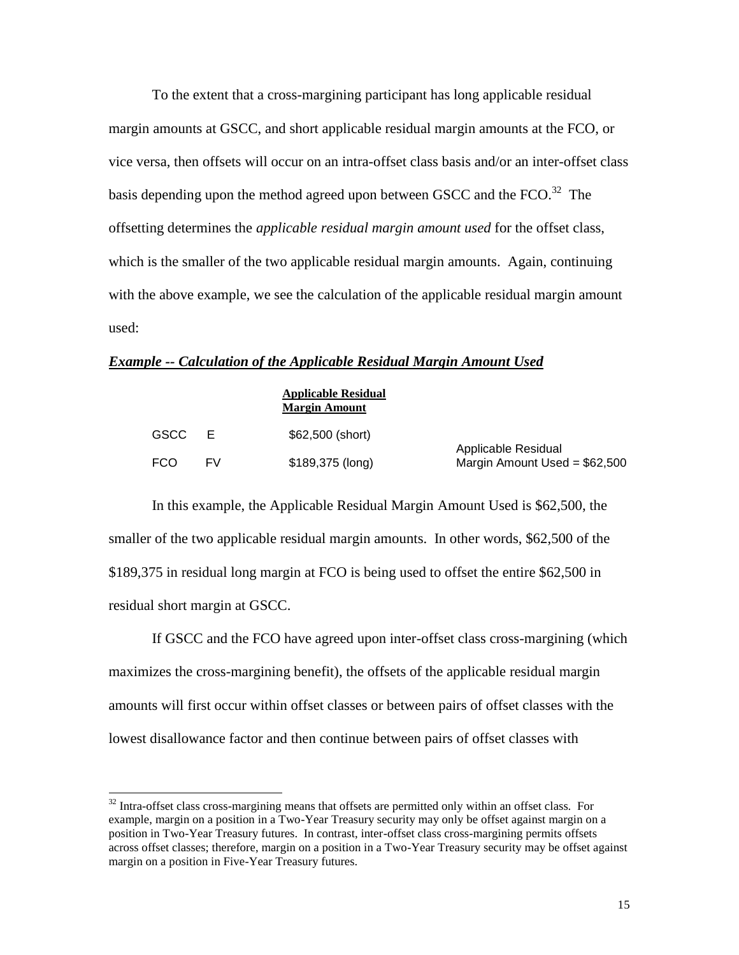To the extent that a cross-margining participant has long applicable residual margin amounts at GSCC, and short applicable residual margin amounts at the FCO, or vice versa, then offsets will occur on an intra-offset class basis and/or an inter-offset class basis depending upon the method agreed upon between GSCC and the FCO. $^{32}$  The offsetting determines the *applicable residual margin amount used* for the offset class, which is the smaller of the two applicable residual margin amounts. Again, continuing with the above example, we see the calculation of the applicable residual margin amount used:

#### *Example -- Calculation of the Applicable Residual Margin Amount Used*

|      |     | <b>Applicable Residual</b><br><b>Margin Amount</b> |                                                       |
|------|-----|----------------------------------------------------|-------------------------------------------------------|
| GSCC | - F | \$62,500 (short)                                   |                                                       |
| FCO  | FV. | \$189,375 (long)                                   | Applicable Residual<br>Margin Amount Used = $$62,500$ |

In this example, the Applicable Residual Margin Amount Used is \$62,500, the smaller of the two applicable residual margin amounts. In other words, \$62,500 of the \$189,375 in residual long margin at FCO is being used to offset the entire \$62,500 in residual short margin at GSCC.

If GSCC and the FCO have agreed upon inter-offset class cross-margining (which maximizes the cross-margining benefit), the offsets of the applicable residual margin amounts will first occur within offset classes or between pairs of offset classes with the lowest disallowance factor and then continue between pairs of offset classes with

 $32$  Intra-offset class cross-margining means that offsets are permitted only within an offset class. For example, margin on a position in a Two-Year Treasury security may only be offset against margin on a position in Two-Year Treasury futures. In contrast, inter-offset class cross-margining permits offsets across offset classes; therefore, margin on a position in a Two-Year Treasury security may be offset against margin on a position in Five-Year Treasury futures.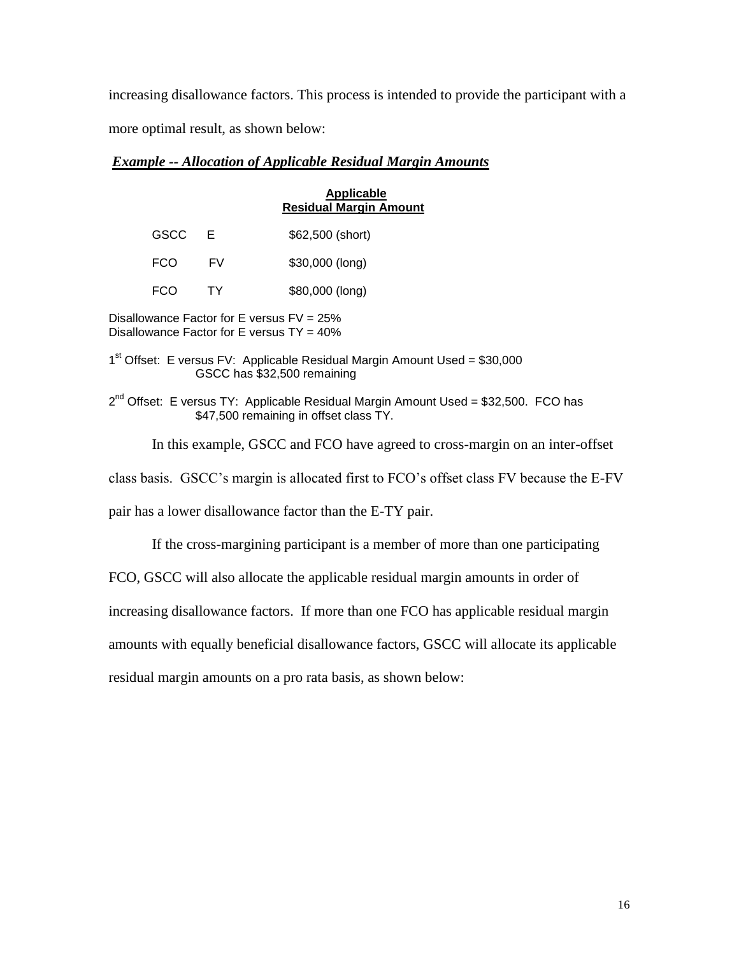increasing disallowance factors. This process is intended to provide the participant with a more optimal result, as shown below:

## *Example -- Allocation of Applicable Residual Margin Amounts*

### **Applicable Residual Margin Amount**

| <b>GSCC</b> |    | \$62,500 (short) |
|-------------|----|------------------|
| <b>FCO</b>  | FV | $$30,000$ (long) |

FCO TY \$80,000 (long)

Disallowance Factor for E versus FV = 25% Disallowance Factor for E versus  $TY = 40\%$ 

1<sup>st</sup> Offset: E versus FV: Applicable Residual Margin Amount Used = \$30,000 GSCC has \$32,500 remaining

2<sup>nd</sup> Offset: E versus TY: Applicable Residual Margin Amount Used = \$32,500. FCO has \$47,500 remaining in offset class TY.

In this example, GSCC and FCO have agreed to cross-margin on an inter-offset

class basis. GSCC's margin is allocated first to FCO's offset class FV because the E-FV

pair has a lower disallowance factor than the E-TY pair.

If the cross-margining participant is a member of more than one participating

FCO, GSCC will also allocate the applicable residual margin amounts in order of

increasing disallowance factors. If more than one FCO has applicable residual margin

amounts with equally beneficial disallowance factors, GSCC will allocate its applicable

residual margin amounts on a pro rata basis, as shown below: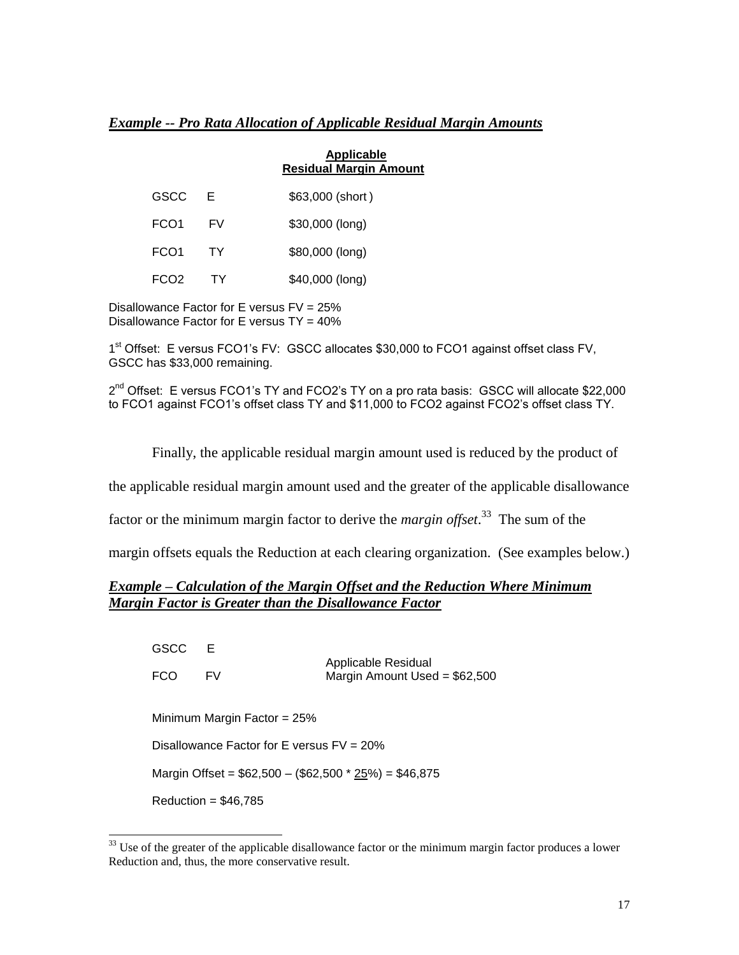### *Example -- Pro Rata Allocation of Applicable Residual Margin Amounts*

|      |     | <b>Applicable</b><br><b>Residual Margin Amount</b> |
|------|-----|----------------------------------------------------|
| GSCC | F.  | \$63,000 (short)                                   |
| FCO1 | FV. | \$30,000 (long)                                    |
| FCO1 | TY. | \$80,000 (long)                                    |
| FCO2 |     | \$40,000 (long)                                    |

Disallowance Factor for E versus FV = 25% Disallowance Factor for E versus TY = 40%

 $\overline{a}$ 

1<sup>st</sup> Offset: E versus FCO1's FV: GSCC allocates \$30,000 to FCO1 against offset class FV, GSCC has \$33,000 remaining.

2<sup>nd</sup> Offset: E versus FCO1's TY and FCO2's TY on a pro rata basis: GSCC will allocate \$22,000 to FCO1 against FCO1's offset class TY and \$11,000 to FCO2 against FCO2's offset class TY.

Finally, the applicable residual margin amount used is reduced by the product of

the applicable residual margin amount used and the greater of the applicable disallowance

factor or the minimum margin factor to derive the *margin offset*. 33 The sum of the

margin offsets equals the Reduction at each clearing organization. (See examples below.)

## *Example – Calculation of the Margin Offset and the Reduction Where Minimum Margin Factor is Greater than the Disallowance Factor*

| GSCC       | F                                            | Applicable Residual<br>Margin Amount Used = $$62,500$ |  |
|------------|----------------------------------------------|-------------------------------------------------------|--|
| <b>FCO</b> | FV                                           |                                                       |  |
|            | Minimum Margin Factor = $25%$                |                                                       |  |
|            | Disallowance Factor for E versus $FV = 20\%$ |                                                       |  |
|            |                                              | Margin Offset = $$62,500 - ($62,500 * 25%) = $46,875$ |  |
|            | Reduction = $$46,785$                        |                                                       |  |

 $33$  Use of the greater of the applicable disallowance factor or the minimum margin factor produces a lower Reduction and, thus, the more conservative result.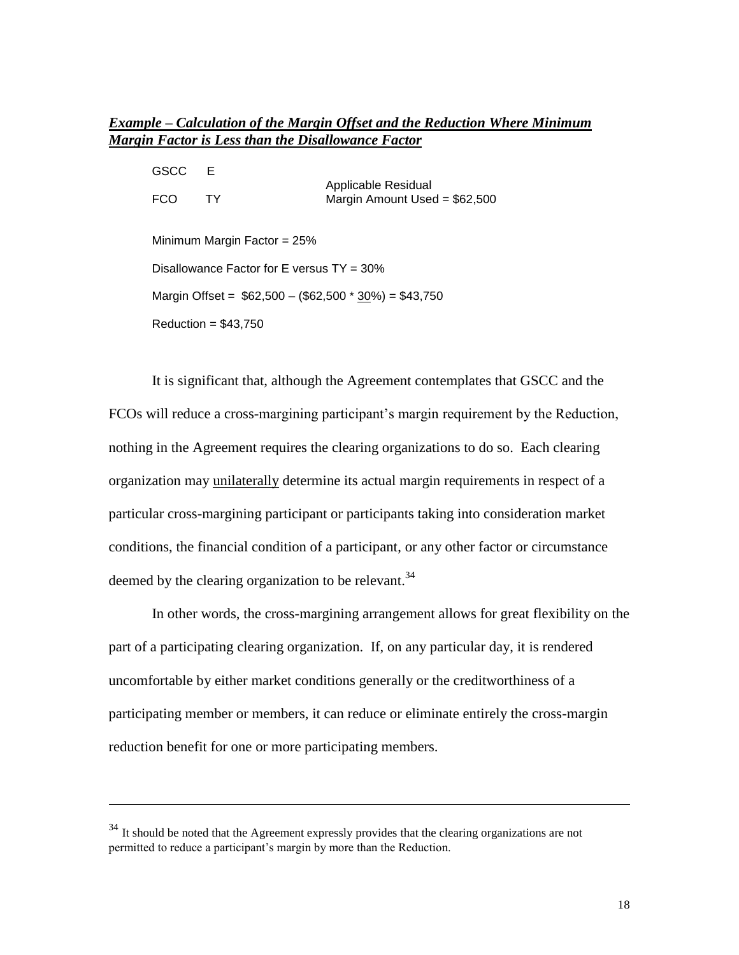# *Example – Calculation of the Margin Offset and the Reduction Where Minimum Margin Factor is Less than the Disallowance Factor*

| GSCC | E                                            |                                                        |  |
|------|----------------------------------------------|--------------------------------------------------------|--|
| FCO  | TY.                                          | Applicable Residual<br>Margin Amount Used = $$62,500$  |  |
|      | Minimum Margin Factor = $25%$                |                                                        |  |
|      | Disallowance Factor for E versus $TY = 30\%$ |                                                        |  |
|      |                                              | Margin Offset = $$62,500 - ($62,500 * 30\%) = $43,750$ |  |
|      | Reduction = $$43,750$                        |                                                        |  |

It is significant that, although the Agreement contemplates that GSCC and the FCOs will reduce a cross-margining participant's margin requirement by the Reduction, nothing in the Agreement requires the clearing organizations to do so. Each clearing organization may unilaterally determine its actual margin requirements in respect of a particular cross-margining participant or participants taking into consideration market conditions, the financial condition of a participant, or any other factor or circumstance deemed by the clearing organization to be relevant.<sup>34</sup>

In other words, the cross-margining arrangement allows for great flexibility on the part of a participating clearing organization. If, on any particular day, it is rendered uncomfortable by either market conditions generally or the creditworthiness of a participating member or members, it can reduce or eliminate entirely the cross-margin reduction benefit for one or more participating members.

<sup>&</sup>lt;sup>34</sup> It should be noted that the Agreement expressly provides that the clearing organizations are not permitted to reduce a participant's margin by more than the Reduction.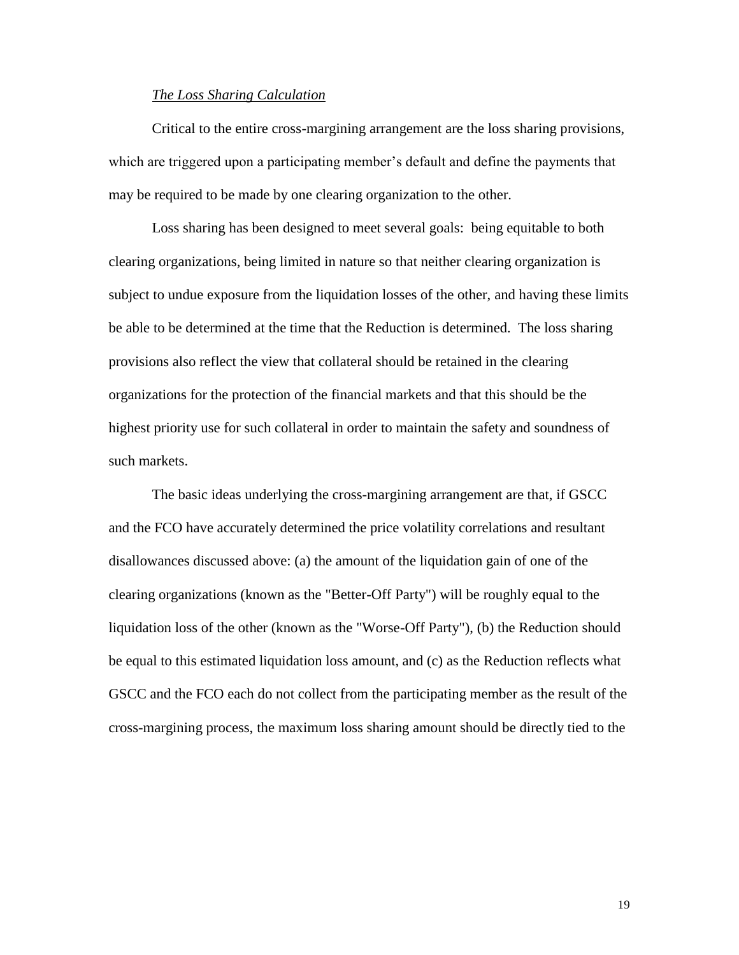### *The Loss Sharing Calculation*

Critical to the entire cross-margining arrangement are the loss sharing provisions, which are triggered upon a participating member's default and define the payments that may be required to be made by one clearing organization to the other.

Loss sharing has been designed to meet several goals: being equitable to both clearing organizations, being limited in nature so that neither clearing organization is subject to undue exposure from the liquidation losses of the other, and having these limits be able to be determined at the time that the Reduction is determined. The loss sharing provisions also reflect the view that collateral should be retained in the clearing organizations for the protection of the financial markets and that this should be the highest priority use for such collateral in order to maintain the safety and soundness of such markets.

The basic ideas underlying the cross-margining arrangement are that, if GSCC and the FCO have accurately determined the price volatility correlations and resultant disallowances discussed above: (a) the amount of the liquidation gain of one of the clearing organizations (known as the "Better-Off Party") will be roughly equal to the liquidation loss of the other (known as the "Worse-Off Party"), (b) the Reduction should be equal to this estimated liquidation loss amount, and (c) as the Reduction reflects what GSCC and the FCO each do not collect from the participating member as the result of the cross-margining process, the maximum loss sharing amount should be directly tied to the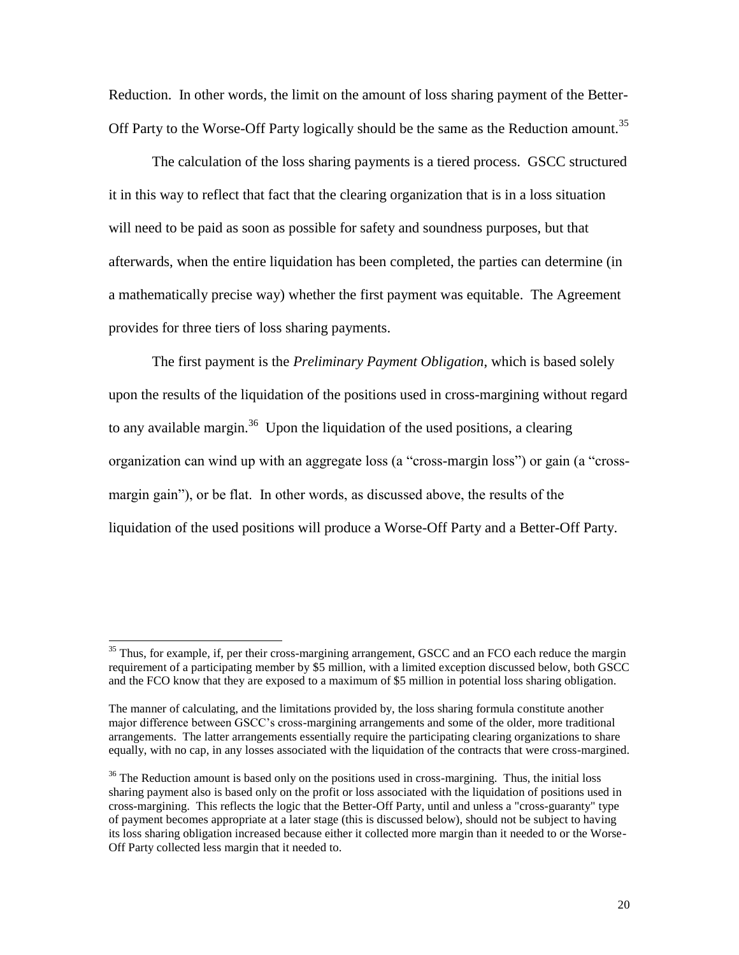Reduction. In other words, the limit on the amount of loss sharing payment of the Better-Off Party to the Worse-Off Party logically should be the same as the Reduction amount.<sup>35</sup>

The calculation of the loss sharing payments is a tiered process. GSCC structured it in this way to reflect that fact that the clearing organization that is in a loss situation will need to be paid as soon as possible for safety and soundness purposes, but that afterwards, when the entire liquidation has been completed, the parties can determine (in a mathematically precise way) whether the first payment was equitable. The Agreement provides for three tiers of loss sharing payments.

The first payment is the *Preliminary Payment Obligation*, which is based solely upon the results of the liquidation of the positions used in cross-margining without regard to any available margin.<sup>36</sup> Upon the liquidation of the used positions, a clearing organization can wind up with an aggregate loss (a "cross-margin loss") or gain (a "crossmargin gain"), or be flat. In other words, as discussed above, the results of the liquidation of the used positions will produce a Worse-Off Party and a Better-Off Party.

 $35$  Thus, for example, if, per their cross-margining arrangement, GSCC and an FCO each reduce the margin requirement of a participating member by \$5 million, with a limited exception discussed below, both GSCC and the FCO know that they are exposed to a maximum of \$5 million in potential loss sharing obligation.

The manner of calculating, and the limitations provided by, the loss sharing formula constitute another major difference between GSCC's cross-margining arrangements and some of the older, more traditional arrangements. The latter arrangements essentially require the participating clearing organizations to share equally, with no cap, in any losses associated with the liquidation of the contracts that were cross-margined.

 $36$  The Reduction amount is based only on the positions used in cross-margining. Thus, the initial loss sharing payment also is based only on the profit or loss associated with the liquidation of positions used in cross-margining. This reflects the logic that the Better-Off Party, until and unless a "cross-guaranty" type of payment becomes appropriate at a later stage (this is discussed below), should not be subject to having its loss sharing obligation increased because either it collected more margin than it needed to or the Worse-Off Party collected less margin that it needed to.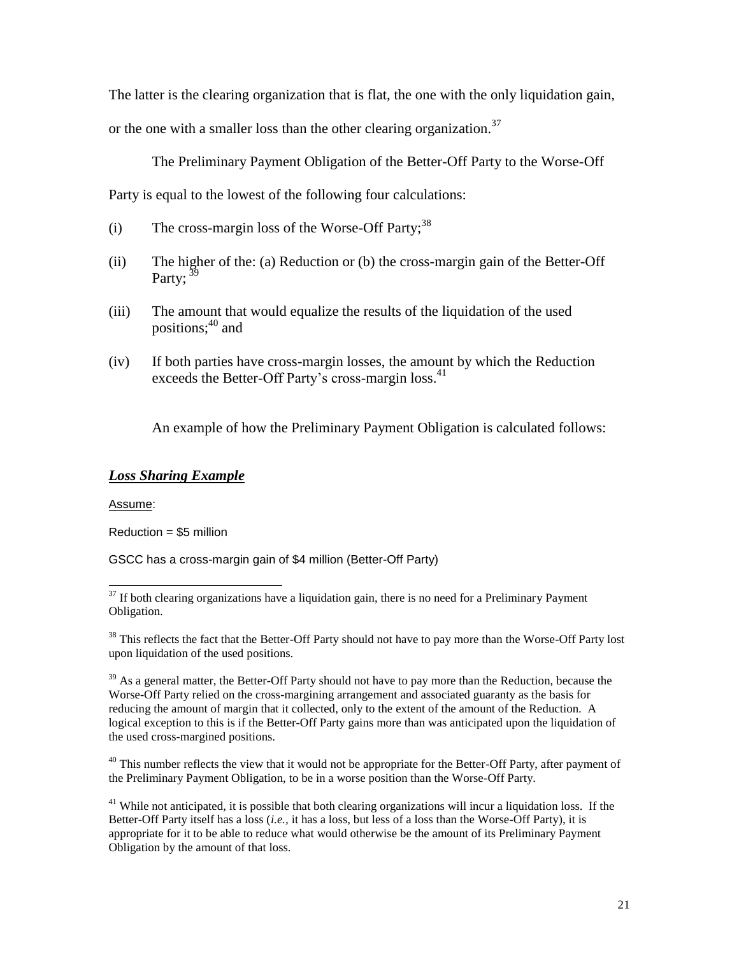The latter is the clearing organization that is flat, the one with the only liquidation gain,

or the one with a smaller loss than the other clearing organization.<sup>37</sup>

The Preliminary Payment Obligation of the Better-Off Party to the Worse-Off

Party is equal to the lowest of the following four calculations:

- (i) The cross-margin loss of the Worse-Off Party;  $38$
- (ii) The higher of the: (a) Reduction or (b) the cross-margin gain of the Better-Off Party;  $39$
- (iii) The amount that would equalize the results of the liquidation of the used positions: $40$  and
- (iv) If both parties have cross-margin losses, the amount by which the Reduction exceeds the Better-Off Party's cross-margin loss.<sup>41</sup>

An example of how the Preliminary Payment Obligation is calculated follows:

# *Loss Sharing Example*

Assume:

Reduction = \$5 million

GSCC has a cross-margin gain of \$4 million (Better-Off Party)

 $39$  As a general matter, the Better-Off Party should not have to pay more than the Reduction, because the Worse-Off Party relied on the cross-margining arrangement and associated guaranty as the basis for reducing the amount of margin that it collected, only to the extent of the amount of the Reduction. A logical exception to this is if the Better-Off Party gains more than was anticipated upon the liquidation of the used cross-margined positions.

 $40$  This number reflects the view that it would not be appropriate for the Better-Off Party, after payment of the Preliminary Payment Obligation, to be in a worse position than the Worse-Off Party.

<sup>41</sup> While not anticipated, it is possible that both clearing organizations will incur a liquidation loss. If the Better-Off Party itself has a loss (*i.e.,* it has a loss, but less of a loss than the Worse-Off Party), it is appropriate for it to be able to reduce what would otherwise be the amount of its Preliminary Payment Obligation by the amount of that loss.

 $\overline{a}$  $37$  If both clearing organizations have a liquidation gain, there is no need for a Preliminary Payment Obligation.

<sup>&</sup>lt;sup>38</sup> This reflects the fact that the Better-Off Party should not have to pay more than the Worse-Off Party lost upon liquidation of the used positions.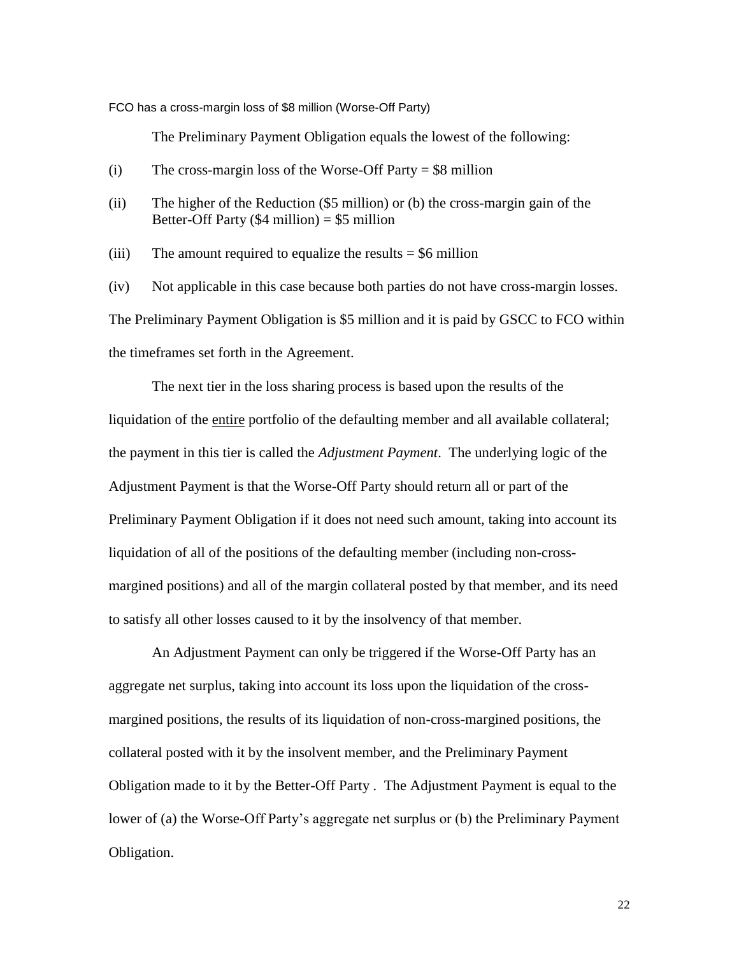FCO has a cross-margin loss of \$8 million (Worse-Off Party)

The Preliminary Payment Obligation equals the lowest of the following:

- (i) The cross-margin loss of the Worse-Off Party  $= $8$  million
- (ii) The higher of the Reduction (\$5 million) or (b) the cross-margin gain of the Better-Off Party  $(\$4$  million) = \$5 million

(iii) The amount required to equalize the results  $= $6$  million

(iv) Not applicable in this case because both parties do not have cross-margin losses. The Preliminary Payment Obligation is \$5 million and it is paid by GSCC to FCO within the timeframes set forth in the Agreement.

The next tier in the loss sharing process is based upon the results of the liquidation of the entire portfolio of the defaulting member and all available collateral; the payment in this tier is called the *Adjustment Payment*. The underlying logic of the Adjustment Payment is that the Worse-Off Party should return all or part of the Preliminary Payment Obligation if it does not need such amount, taking into account its liquidation of all of the positions of the defaulting member (including non-crossmargined positions) and all of the margin collateral posted by that member, and its need to satisfy all other losses caused to it by the insolvency of that member.

An Adjustment Payment can only be triggered if the Worse-Off Party has an aggregate net surplus, taking into account its loss upon the liquidation of the crossmargined positions, the results of its liquidation of non-cross-margined positions, the collateral posted with it by the insolvent member, and the Preliminary Payment Obligation made to it by the Better-Off Party . The Adjustment Payment is equal to the lower of (a) the Worse-Off Party's aggregate net surplus or (b) the Preliminary Payment Obligation.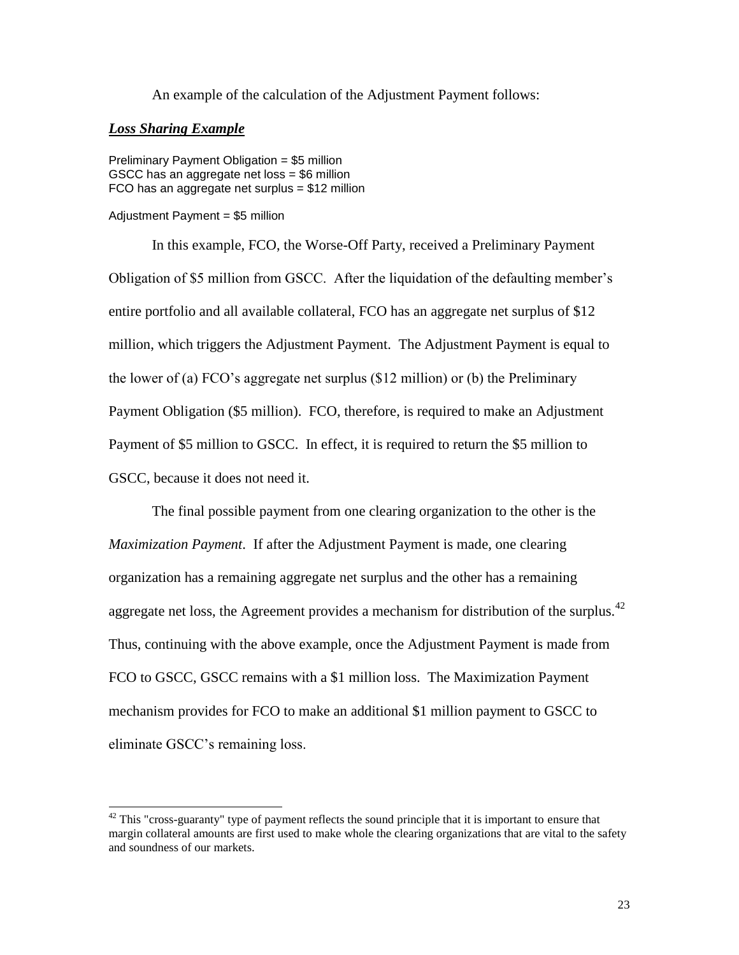An example of the calculation of the Adjustment Payment follows:

### *Loss Sharing Example*

 $\overline{\phantom{a}}$ 

Preliminary Payment Obligation = \$5 million GSCC has an aggregate net loss = \$6 million FCO has an aggregate net surplus = \$12 million

#### Adjustment Payment = \$5 million

In this example, FCO, the Worse-Off Party, received a Preliminary Payment Obligation of \$5 million from GSCC. After the liquidation of the defaulting member's entire portfolio and all available collateral, FCO has an aggregate net surplus of \$12 million, which triggers the Adjustment Payment. The Adjustment Payment is equal to the lower of (a) FCO's aggregate net surplus (\$12 million) or (b) the Preliminary Payment Obligation (\$5 million). FCO, therefore, is required to make an Adjustment Payment of \$5 million to GSCC. In effect, it is required to return the \$5 million to GSCC, because it does not need it.

The final possible payment from one clearing organization to the other is the *Maximization Payment*. If after the Adjustment Payment is made, one clearing organization has a remaining aggregate net surplus and the other has a remaining aggregate net loss, the Agreement provides a mechanism for distribution of the surplus.<sup>42</sup> Thus, continuing with the above example, once the Adjustment Payment is made from FCO to GSCC, GSCC remains with a \$1 million loss. The Maximization Payment mechanism provides for FCO to make an additional \$1 million payment to GSCC to eliminate GSCC's remaining loss.

 $42$  This "cross-guaranty" type of payment reflects the sound principle that it is important to ensure that margin collateral amounts are first used to make whole the clearing organizations that are vital to the safety and soundness of our markets.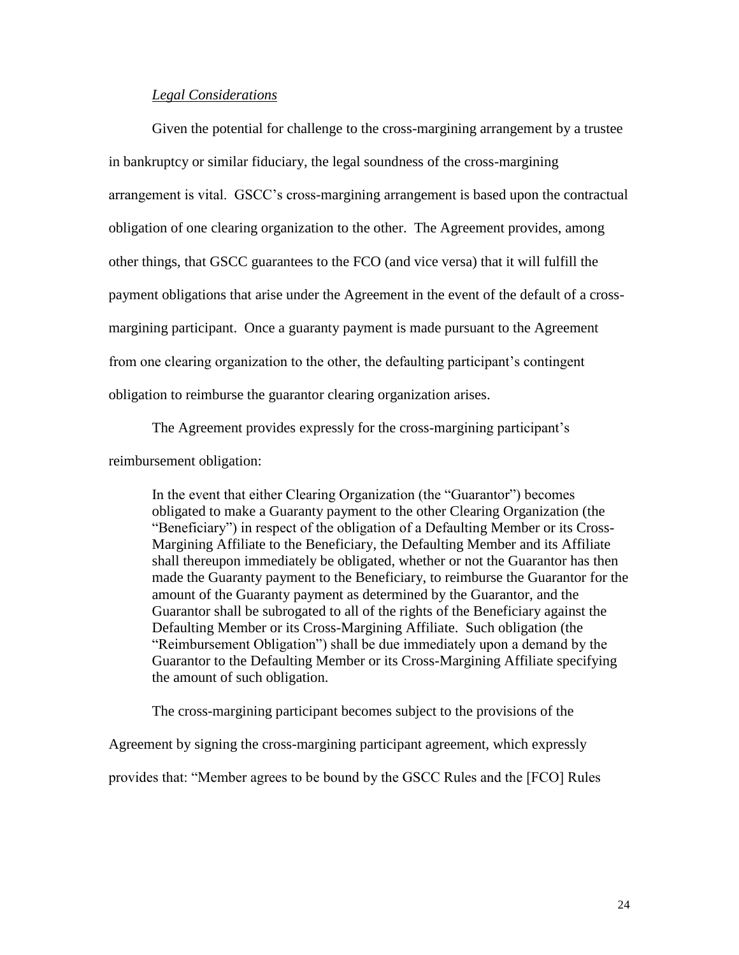### *Legal Considerations*

Given the potential for challenge to the cross-margining arrangement by a trustee in bankruptcy or similar fiduciary, the legal soundness of the cross-margining arrangement is vital. GSCC's cross-margining arrangement is based upon the contractual obligation of one clearing organization to the other. The Agreement provides, among other things, that GSCC guarantees to the FCO (and vice versa) that it will fulfill the payment obligations that arise under the Agreement in the event of the default of a crossmargining participant. Once a guaranty payment is made pursuant to the Agreement from one clearing organization to the other, the defaulting participant's contingent obligation to reimburse the guarantor clearing organization arises.

The Agreement provides expressly for the cross-margining participant's

reimbursement obligation:

In the event that either Clearing Organization (the "Guarantor") becomes obligated to make a Guaranty payment to the other Clearing Organization (the "Beneficiary") in respect of the obligation of a Defaulting Member or its Cross-Margining Affiliate to the Beneficiary, the Defaulting Member and its Affiliate shall thereupon immediately be obligated, whether or not the Guarantor has then made the Guaranty payment to the Beneficiary, to reimburse the Guarantor for the amount of the Guaranty payment as determined by the Guarantor, and the Guarantor shall be subrogated to all of the rights of the Beneficiary against the Defaulting Member or its Cross-Margining Affiliate. Such obligation (the "Reimbursement Obligation") shall be due immediately upon a demand by the Guarantor to the Defaulting Member or its Cross-Margining Affiliate specifying the amount of such obligation.

The cross-margining participant becomes subject to the provisions of the

Agreement by signing the cross-margining participant agreement, which expressly

provides that: "Member agrees to be bound by the GSCC Rules and the [FCO] Rules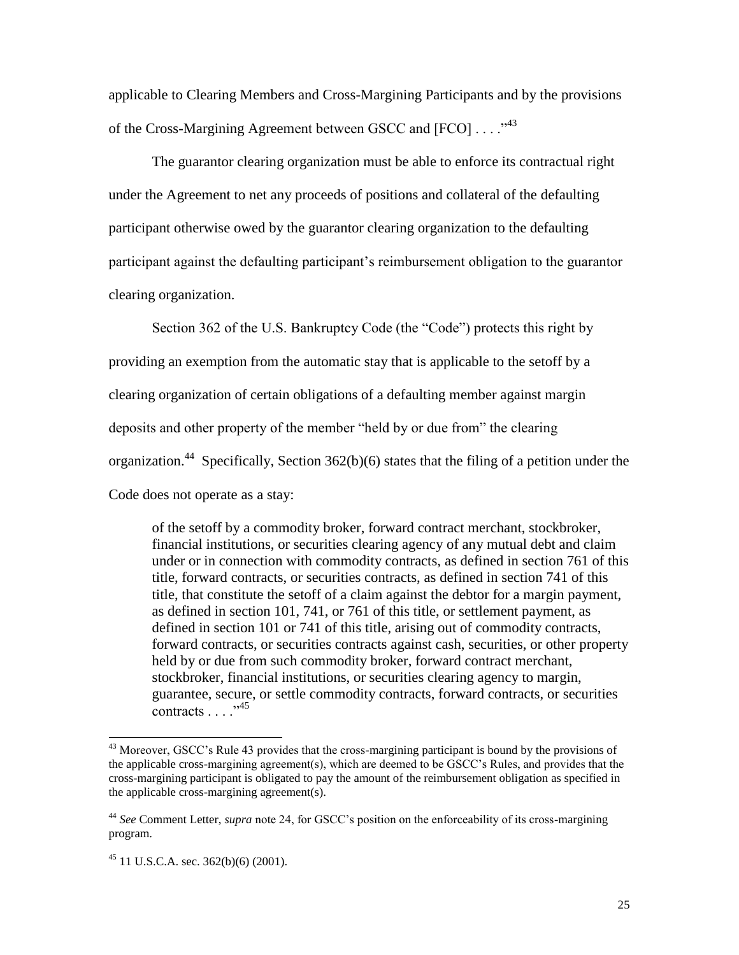applicable to Clearing Members and Cross-Margining Participants and by the provisions of the Cross-Margining Agreement between GSCC and [FCO] . . . ."<sup>43</sup>

The guarantor clearing organization must be able to enforce its contractual right under the Agreement to net any proceeds of positions and collateral of the defaulting participant otherwise owed by the guarantor clearing organization to the defaulting participant against the defaulting participant's reimbursement obligation to the guarantor clearing organization.

Section 362 of the U.S. Bankruptcy Code (the "Code") protects this right by providing an exemption from the automatic stay that is applicable to the setoff by a clearing organization of certain obligations of a defaulting member against margin deposits and other property of the member "held by or due from" the clearing organization.<sup>44</sup> Specifically, Section 362(b)(6) states that the filing of a petition under the Code does not operate as a stay:

of the setoff by a commodity broker, forward contract merchant, stockbroker, financial institutions, or securities clearing agency of any mutual debt and claim under or in connection with commodity contracts, as defined in section 761 of this title, forward contracts, or securities contracts, as defined in section 741 of this title, that constitute the setoff of a claim against the debtor for a margin payment, as defined in section 101, 741, or 761 of this title, or settlement payment, as defined in section 101 or 741 of this title, arising out of commodity contracts, forward contracts, or securities contracts against cash, securities, or other property held by or due from such commodity broker, forward contract merchant, stockbroker, financial institutions, or securities clearing agency to margin, guarantee, secure, or settle commodity contracts, forward contracts, or securities contracts  $\ldots$  .  $^{345}$ 

l

<sup>&</sup>lt;sup>43</sup> Moreover, GSCC's Rule 43 provides that the cross-margining participant is bound by the provisions of the applicable cross-margining agreement(s), which are deemed to be GSCC's Rules, and provides that the cross-margining participant is obligated to pay the amount of the reimbursement obligation as specified in the applicable cross-margining agreement(s).

<sup>44</sup> *See* Comment Letter, *supra* note 24, for GSCC's position on the enforceability of its cross-margining program.

 $^{45}$  11 U.S.C.A. sec. 362(b)(6) (2001).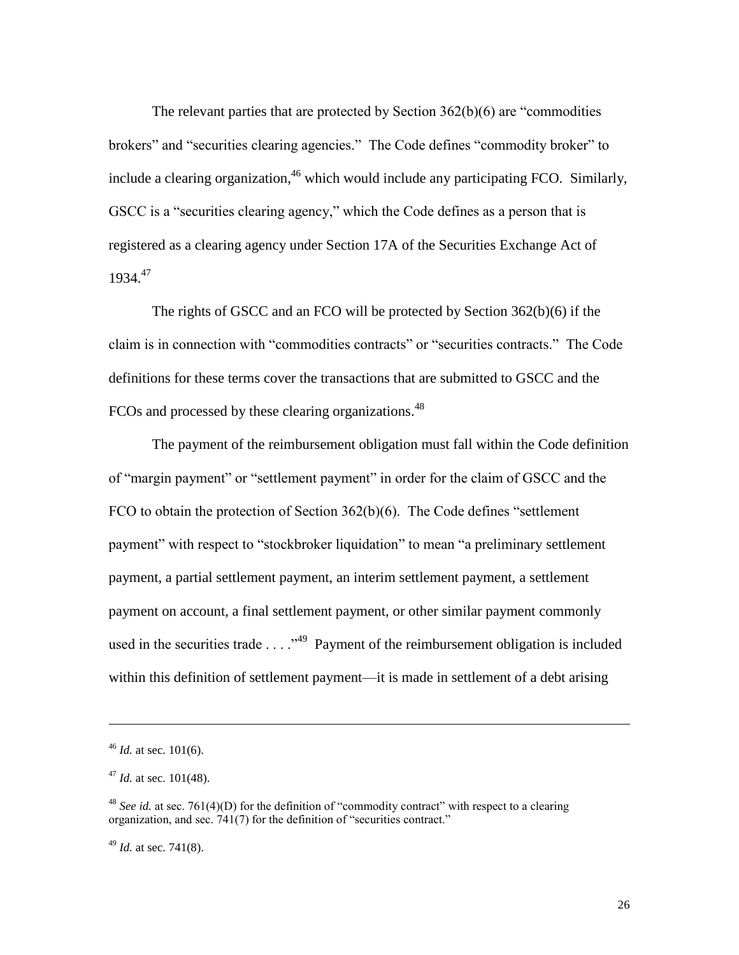The relevant parties that are protected by Section 362(b)(6) are "commodities brokers" and "securities clearing agencies." The Code defines "commodity broker" to include a clearing organization,  $46$  which would include any participating FCO. Similarly, GSCC is a "securities clearing agency," which the Code defines as a person that is registered as a clearing agency under Section 17A of the Securities Exchange Act of 1934.<sup>47</sup>

The rights of GSCC and an FCO will be protected by Section 362(b)(6) if the claim is in connection with "commodities contracts" or "securities contracts." The Code definitions for these terms cover the transactions that are submitted to GSCC and the FCOs and processed by these clearing organizations.<sup>48</sup>

The payment of the reimbursement obligation must fall within the Code definition of "margin payment" or "settlement payment" in order for the claim of GSCC and the FCO to obtain the protection of Section 362(b)(6). The Code defines "settlement payment" with respect to "stockbroker liquidation" to mean "a preliminary settlement payment, a partial settlement payment, an interim settlement payment, a settlement payment on account, a final settlement payment, or other similar payment commonly used in the securities trade  $\dots$   $\cdot$ <sup>49</sup> Payment of the reimbursement obligation is included within this definition of settlement payment—it is made in settlement of a debt arising

 $\overline{\phantom{a}}$ 

 $46$  *Id.* at sec. 101(6).

<sup>47</sup> *Id.* at sec. 101(48).

<sup>&</sup>lt;sup>48</sup> *See id.* at sec. 761(4)(D) for the definition of "commodity contract" with respect to a clearing organization, and sec. 741(7) for the definition of "securities contract."

<sup>49</sup> *Id.* at sec. 741(8).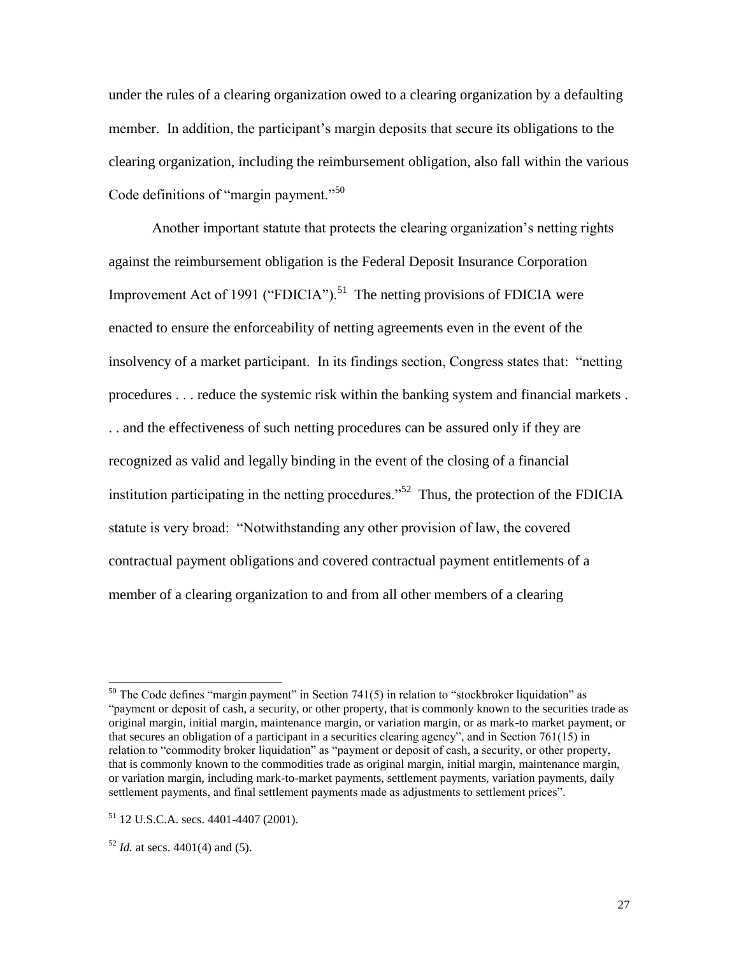under the rules of a clearing organization owed to a clearing organization by a defaulting member. In addition, the participant's margin deposits that secure its obligations to the clearing organization, including the reimbursement obligation, also fall within the various Code definitions of "margin payment."<sup>50</sup>

Another important statute that protects the clearing organization's netting rights against the reimbursement obligation is the Federal Deposit Insurance Corporation Improvement Act of 1991 ("FDICIA").<sup>51</sup> The netting provisions of FDICIA were enacted to ensure the enforceability of netting agreements even in the event of the insolvency of a market participant. In its findings section, Congress states that: "netting procedures . . . reduce the systemic risk within the banking system and financial markets . . . and the effectiveness of such netting procedures can be assured only if they are recognized as valid and legally binding in the event of the closing of a financial institution participating in the netting procedures."<sup>52</sup> Thus, the protection of the FDICIA statute is very broad: "Notwithstanding any other provision of law, the covered contractual payment obligations and covered contractual payment entitlements of a member of a clearing organization to and from all other members of a clearing

 $\overline{\phantom{a}}$ 

 $50$  The Code defines "margin payment" in Section 741(5) in relation to "stockbroker liquidation" as "payment or deposit of cash, a security, or other property, that is commonly known to the securities trade as original margin, initial margin, maintenance margin, or variation margin, or as mark-to market payment, or that secures an obligation of a participant in a securities clearing agency", and in Section 761(15) in relation to "commodity broker liquidation" as "payment or deposit of cash, a security, or other property, that is commonly known to the commodities trade as original margin, initial margin, maintenance margin, or variation margin, including mark-to-market payments, settlement payments, variation payments, daily settlement payments, and final settlement payments made as adjustments to settlement prices".

<sup>51</sup> 12 U.S.C.A. secs. 4401-4407 (2001).

 $52$  *Id.* at secs. 4401(4) and (5).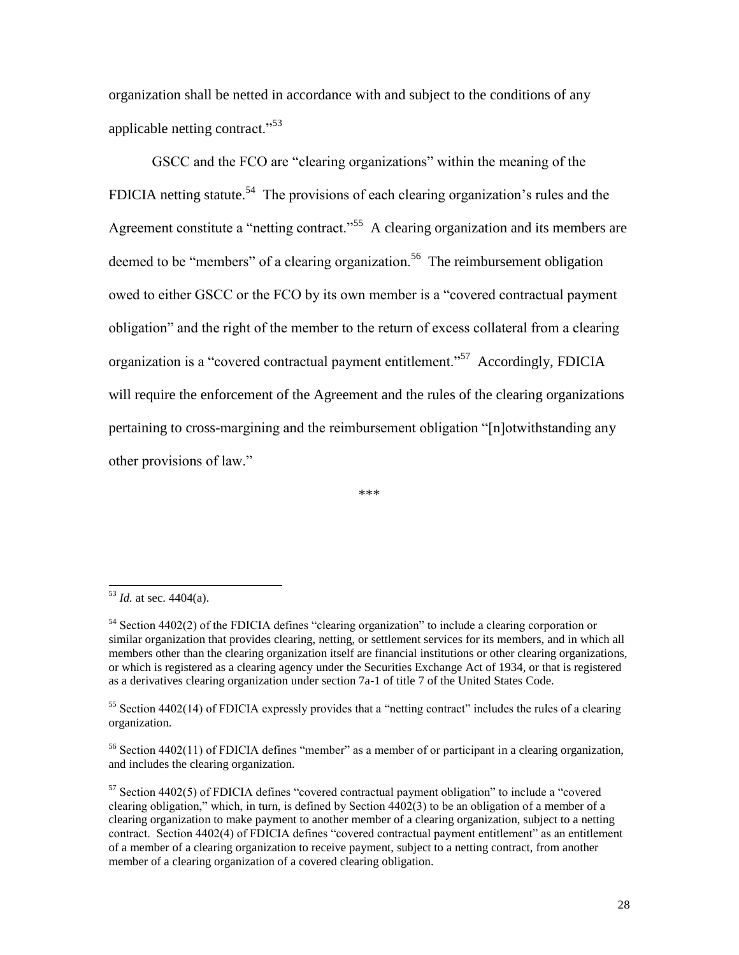organization shall be netted in accordance with and subject to the conditions of any applicable netting contract."<sup>53</sup>

GSCC and the FCO are "clearing organizations" within the meaning of the FDICIA netting statute.<sup>54</sup> The provisions of each clearing organization's rules and the Agreement constitute a "netting contract."<sup>55</sup> A clearing organization and its members are deemed to be "members" of a clearing organization.<sup>56</sup> The reimbursement obligation owed to either GSCC or the FCO by its own member is a "covered contractual payment obligation" and the right of the member to the return of excess collateral from a clearing organization is a "covered contractual payment entitlement."<sup>57</sup> Accordingly, FDICIA will require the enforcement of the Agreement and the rules of the clearing organizations pertaining to cross-margining and the reimbursement obligation "[n]otwithstanding any other provisions of law."

\*\*\*

 $\overline{\phantom{a}}$ 

<sup>53</sup> *Id.* at sec. 4404(a).

<sup>&</sup>lt;sup>54</sup> Section 4402(2) of the FDICIA defines "clearing organization" to include a clearing corporation or similar organization that provides clearing, netting, or settlement services for its members, and in which all members other than the clearing organization itself are financial institutions or other clearing organizations, or which is registered as a clearing agency under the Securities Exchange Act of 1934, or that is registered as a derivatives clearing organization under section 7a-1 of title 7 of the United States Code.

<sup>&</sup>lt;sup>55</sup> Section 4402(14) of FDICIA expressly provides that a "netting contract" includes the rules of a clearing organization.

<sup>&</sup>lt;sup>56</sup> Section 4402(11) of FDICIA defines "member" as a member of or participant in a clearing organization, and includes the clearing organization.

 $57$  Section 4402(5) of FDICIA defines "covered contractual payment obligation" to include a "covered" clearing obligation," which, in turn, is defined by Section 4402(3) to be an obligation of a member of a clearing organization to make payment to another member of a clearing organization, subject to a netting contract. Section 4402(4) of FDICIA defines "covered contractual payment entitlement" as an entitlement of a member of a clearing organization to receive payment, subject to a netting contract, from another member of a clearing organization of a covered clearing obligation.